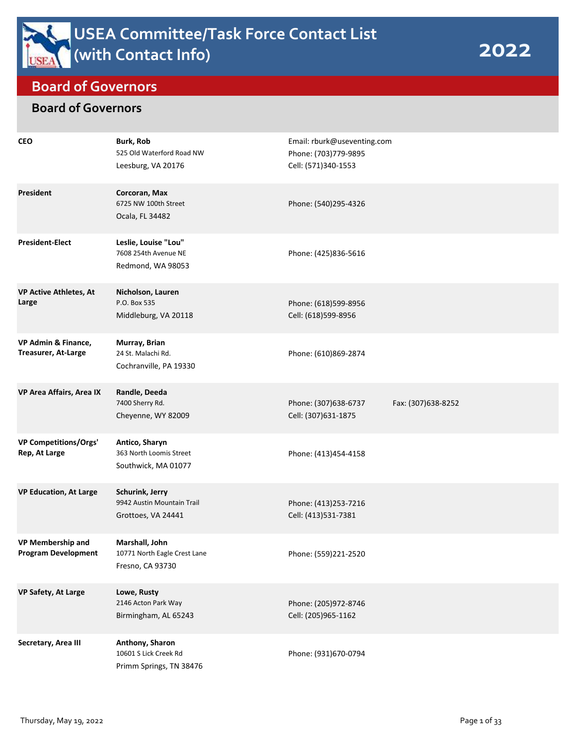

## **Board of Governors**

## **Board of Governors**

| <b>CEO</b>                                             | <b>Burk, Rob</b><br>525 Old Waterford Road NW<br>Leesburg, VA 20176 | Email: rburk@useventing.com<br>Phone: (703)779-9895<br>Cell: (571)340-1553 |                    |
|--------------------------------------------------------|---------------------------------------------------------------------|----------------------------------------------------------------------------|--------------------|
| <b>President</b>                                       | Corcoran, Max<br>6725 NW 100th Street<br>Ocala, FL 34482            | Phone: (540)295-4326                                                       |                    |
| <b>President-Elect</b>                                 | Leslie, Louise "Lou"<br>7608 254th Avenue NE<br>Redmond, WA 98053   | Phone: (425)836-5616                                                       |                    |
| <b>VP Active Athletes, At</b><br>Large                 | Nicholson, Lauren<br>P.O. Box 535<br>Middleburg, VA 20118           | Phone: (618)599-8956<br>Cell: (618)599-8956                                |                    |
| VP Admin & Finance,<br><b>Treasurer, At-Large</b>      | Murray, Brian<br>24 St. Malachi Rd.<br>Cochranville, PA 19330       | Phone: (610)869-2874                                                       |                    |
| VP Area Affairs, Area IX                               | Randle, Deeda<br>7400 Sherry Rd.<br>Cheyenne, WY 82009              | Phone: (307)638-6737<br>Cell: (307)631-1875                                | Fax: (307)638-8252 |
| <b>VP Competitions/Orgs'</b><br>Rep, At Large          | Antico, Sharyn<br>363 North Loomis Street<br>Southwick, MA 01077    | Phone: (413)454-4158                                                       |                    |
| <b>VP Education, At Large</b>                          | Schurink, Jerry<br>9942 Austin Mountain Trail<br>Grottoes, VA 24441 | Phone: (413)253-7216<br>Cell: (413)531-7381                                |                    |
| <b>VP Membership and</b><br><b>Program Development</b> | Marshall, John<br>10771 North Eagle Crest Lane<br>Fresno, CA 93730  | Phone: (559)221-2520                                                       |                    |
| <b>VP Safety, At Large</b>                             | Lowe, Rusty<br>2146 Acton Park Way<br>Birmingham, AL 65243          | Phone: (205)972-8746<br>Cell: (205)965-1162                                |                    |
| Secretary, Area III                                    | Anthony, Sharon<br>10601 S Lick Creek Rd<br>Primm Springs, TN 38476 | Phone: (931)670-0794                                                       |                    |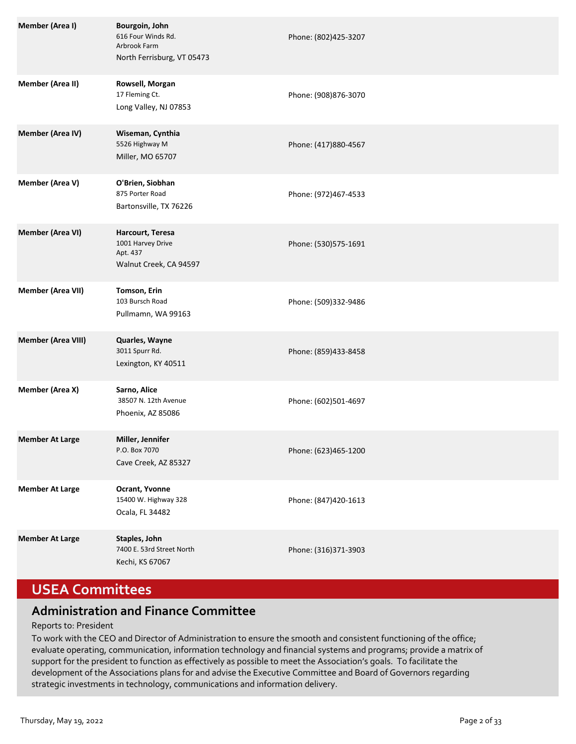| <b>Member (Area I)</b>    | Bourgoin, John<br>616 Four Winds Rd.<br>Arbrook Farm<br>North Ferrisburg, VT 05473 | Phone: (802)425-3207 |
|---------------------------|------------------------------------------------------------------------------------|----------------------|
| <b>Member (Area II)</b>   | Rowsell, Morgan<br>17 Fleming Ct.<br>Long Valley, NJ 07853                         | Phone: (908)876-3070 |
| <b>Member (Area IV)</b>   | Wiseman, Cynthia<br>5526 Highway M<br>Miller, MO 65707                             | Phone: (417)880-4567 |
| <b>Member (Area V)</b>    | O'Brien, Siobhan<br>875 Porter Road<br>Bartonsville, TX 76226                      | Phone: (972)467-4533 |
| <b>Member (Area VI)</b>   | Harcourt, Teresa<br>1001 Harvey Drive<br>Apt. 437<br>Walnut Creek, CA 94597        | Phone: (530)575-1691 |
| <b>Member (Area VII)</b>  | Tomson, Erin<br>103 Bursch Road<br>Pullmamn, WA 99163                              | Phone: (509)332-9486 |
| <b>Member (Area VIII)</b> | Quarles, Wayne<br>3011 Spurr Rd.<br>Lexington, KY 40511                            | Phone: (859)433-8458 |
| Member (Area X)           | Sarno, Alice<br>38507 N. 12th Avenue<br>Phoenix, AZ 85086                          | Phone: (602)501-4697 |
| <b>Member At Large</b>    | Miller, Jennifer<br>P.O. Box 7070<br>Cave Creek, AZ 85327                          | Phone: (623)465-1200 |
| <b>Member At Large</b>    | Ocrant, Yvonne<br>15400 W. Highway 328<br>Ocala, FL 34482                          | Phone: (847)420-1613 |
| <b>Member At Large</b>    | Staples, John<br>7400 E. 53rd Street North<br>Kechi, KS 67067                      | Phone: (316)371-3903 |

# **USEA Committees**

## **Administration and Finance Committee**

### Reports to: President

To work with the CEO and Director of Administration to ensure the smooth and consistent functioning of the office; evaluate operating, communication, information technology and financial systems and programs; provide a matrix of support for the president to function as effectively as possible to meet the Association's goals. To facilitate the development of the Associations plans for and advise the Executive Committee and Board of Governors regarding strategic investments in technology, communications and information delivery.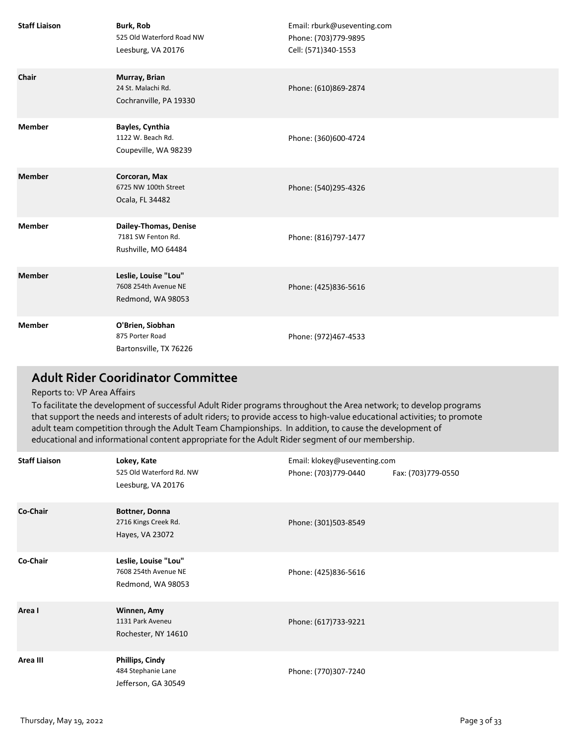| <b>Staff Liaison</b> | <b>Burk, Rob</b><br>525 Old Waterford Road NW<br>Leesburg, VA 20176 | Email: rburk@useventing.com<br>Phone: (703)779-9895<br>Cell: (571)340-1553 |
|----------------------|---------------------------------------------------------------------|----------------------------------------------------------------------------|
| Chair                | Murray, Brian<br>24 St. Malachi Rd.<br>Cochranville, PA 19330       | Phone: (610)869-2874                                                       |
| <b>Member</b>        | Bayles, Cynthia<br>1122 W. Beach Rd.<br>Coupeville, WA 98239        | Phone: (360)600-4724                                                       |
| <b>Member</b>        | Corcoran, Max<br>6725 NW 100th Street<br>Ocala, FL 34482            | Phone: (540)295-4326                                                       |
| <b>Member</b>        | Dailey-Thomas, Denise<br>7181 SW Fenton Rd.<br>Rushville, MO 64484  | Phone: (816)797-1477                                                       |
| <b>Member</b>        | Leslie, Louise "Lou"<br>7608 254th Avenue NE<br>Redmond, WA 98053   | Phone: (425)836-5616                                                       |
| <b>Member</b>        | O'Brien, Siobhan<br>875 Porter Road<br>Bartonsville, TX 76226       | Phone: (972)467-4533                                                       |

## **Adult Rider Cooridinator Committee**

#### Reports to: VP Area Affairs

To facilitate the development of successful Adult Rider programs throughout the Area network; to develop programs that support the needs and interests of adult riders; to provide access to high-value educational activities; to promote adult team competition through the Adult Team Championships. In addition, to cause the development of educational and informational content appropriate for the Adult Rider segment of our membership.

| <b>Staff Liaison</b> | Lokey, Kate                                                         | Email: klokey@useventing.com |                    |
|----------------------|---------------------------------------------------------------------|------------------------------|--------------------|
|                      | 525 Old Waterford Rd. NW<br>Leesburg, VA 20176                      | Phone: (703)779-0440         | Fax: (703)779-0550 |
| Co-Chair             | Bottner, Donna<br>2716 Kings Creek Rd.<br>Hayes, VA 23072           | Phone: (301)503-8549         |                    |
| Co-Chair             | Leslie, Louise "Lou"<br>7608 254th Avenue NE<br>Redmond, WA 98053   | Phone: (425)836-5616         |                    |
| Area I               | Winnen, Amy<br>1131 Park Aveneu<br>Rochester, NY 14610              | Phone: (617)733-9221         |                    |
| Area III             | <b>Phillips, Cindy</b><br>484 Stephanie Lane<br>Jefferson, GA 30549 | Phone: (770)307-7240         |                    |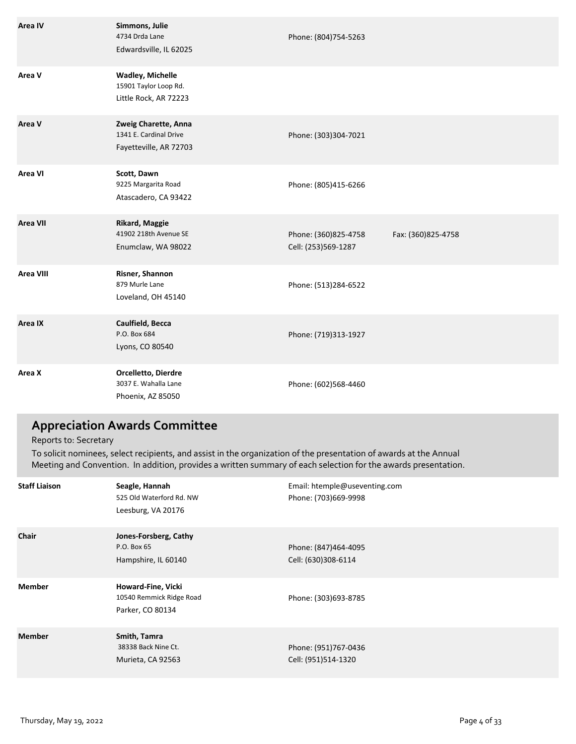| Area IV          | Simmons, Julie<br>4734 Drda Lane<br>Edwardsville, IL 62025                | Phone: (804)754-5263                        |                    |
|------------------|---------------------------------------------------------------------------|---------------------------------------------|--------------------|
| Area V           | <b>Wadley, Michelle</b><br>15901 Taylor Loop Rd.<br>Little Rock, AR 72223 |                                             |                    |
| Area V           | Zweig Charette, Anna<br>1341 E. Cardinal Drive<br>Fayetteville, AR 72703  | Phone: (303)304-7021                        |                    |
| Area VI          | Scott, Dawn<br>9225 Margarita Road<br>Atascadero, CA 93422                | Phone: (805)415-6266                        |                    |
| <b>Area VII</b>  | <b>Rikard, Maggie</b><br>41902 218th Avenue SE<br>Enumclaw, WA 98022      | Phone: (360)825-4758<br>Cell: (253)569-1287 | Fax: (360)825-4758 |
| <b>Area VIII</b> | Risner, Shannon<br>879 Murle Lane<br>Loveland, OH 45140                   | Phone: (513)284-6522                        |                    |
| Area IX          | Caulfield, Becca<br>P.O. Box 684<br>Lyons, CO 80540                       | Phone: (719)313-1927                        |                    |
| Area X           | Orcelletto, Dierdre<br>3037 E. Wahalla Lane<br>Phoenix, AZ 85050          | Phone: (602)568-4460                        |                    |

## **Appreciation Awards Committee**

Reports to: Secretary

To solicit nominees, select recipients, and assist in the organization of the presentation of awards at the Annual Meeting and Convention. In addition, provides a written summary of each selection for the awards presentation.

| <b>Staff Liaison</b> | Seagle, Hannah<br>525 Old Waterford Rd. NW<br>Leesburg, VA 20176   | Email: htemple@useventing.com<br>Phone: (703)669-9998 |
|----------------------|--------------------------------------------------------------------|-------------------------------------------------------|
| Chair                | Jones-Forsberg, Cathy<br>P.O. Box 65<br>Hampshire, IL 60140        | Phone: (847)464-4095<br>Cell: (630)308-6114           |
| <b>Member</b>        | Howard-Fine, Vicki<br>10540 Remmick Ridge Road<br>Parker, CO 80134 | Phone: (303)693-8785                                  |
| <b>Member</b>        | Smith, Tamra<br>38338 Back Nine Ct.<br>Murieta, CA 92563           | Phone: (951)767-0436<br>Cell: (951)514-1320           |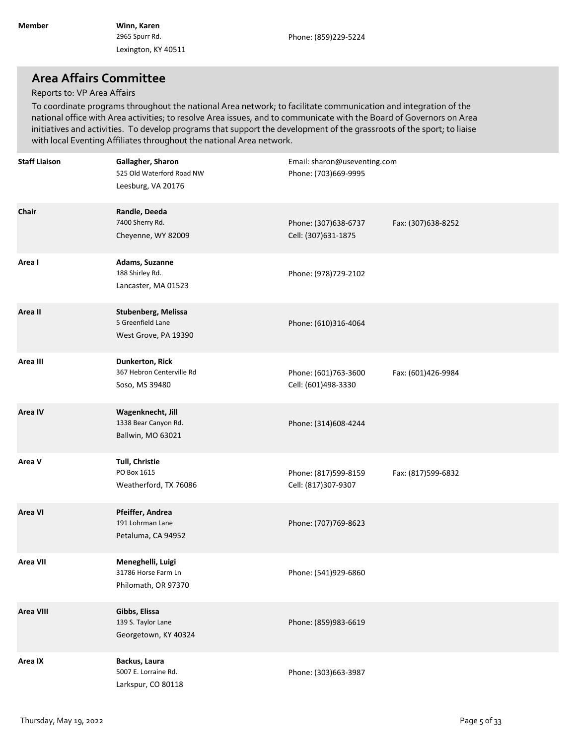### **Area Affairs Committee**

#### Reports to: VP Area Affairs

To coordinate programs throughout the national Area network; to facilitate communication and integration of the national office with Area activities; to resolve Area issues, and to communicate with the Board of Governors on Area initiatives and activities. To develop programs that support the development of the grassroots of the sport; to liaise with local Eventing Affiliates throughout the national Area network.

| <b>Staff Liaison</b> | Gallagher, Sharon<br>525 Old Waterford Road NW<br>Leesburg, VA 20176  | Email: sharon@useventing.com<br>Phone: (703)669-9995 |                    |
|----------------------|-----------------------------------------------------------------------|------------------------------------------------------|--------------------|
| Chair                | Randle, Deeda<br>7400 Sherry Rd.<br>Cheyenne, WY 82009                | Phone: (307)638-6737<br>Cell: (307)631-1875          | Fax: (307)638-8252 |
| Area I               | Adams, Suzanne<br>188 Shirley Rd.<br>Lancaster, MA 01523              | Phone: (978)729-2102                                 |                    |
| Area II              | Stubenberg, Melissa<br>5 Greenfield Lane<br>West Grove, PA 19390      | Phone: (610)316-4064                                 |                    |
| Area III             | <b>Dunkerton, Rick</b><br>367 Hebron Centerville Rd<br>Soso, MS 39480 | Phone: (601)763-3600<br>Cell: (601)498-3330          | Fax: (601)426-9984 |
| <b>Area IV</b>       | Wagenknecht, Jill<br>1338 Bear Canyon Rd.<br>Ballwin, MO 63021        | Phone: (314)608-4244                                 |                    |
| Area V               | Tull, Christie<br>PO Box 1615<br>Weatherford, TX 76086                | Phone: (817)599-8159<br>Cell: (817)307-9307          | Fax: (817)599-6832 |
| <b>Area VI</b>       | Pfeiffer, Andrea<br>191 Lohrman Lane<br>Petaluma, CA 94952            | Phone: (707)769-8623                                 |                    |
| <b>Area VII</b>      | Meneghelli, Luigi<br>31786 Horse Farm Ln<br>Philomath, OR 97370       | Phone: (541)929-6860                                 |                    |
| <b>Area VIII</b>     | Gibbs, Elissa<br>139 S. Taylor Lane<br>Georgetown, KY 40324           | Phone: (859)983-6619                                 |                    |
| Area IX              | Backus, Laura<br>5007 E. Lorraine Rd.<br>Larkspur, CO 80118           | Phone: (303)663-3987                                 |                    |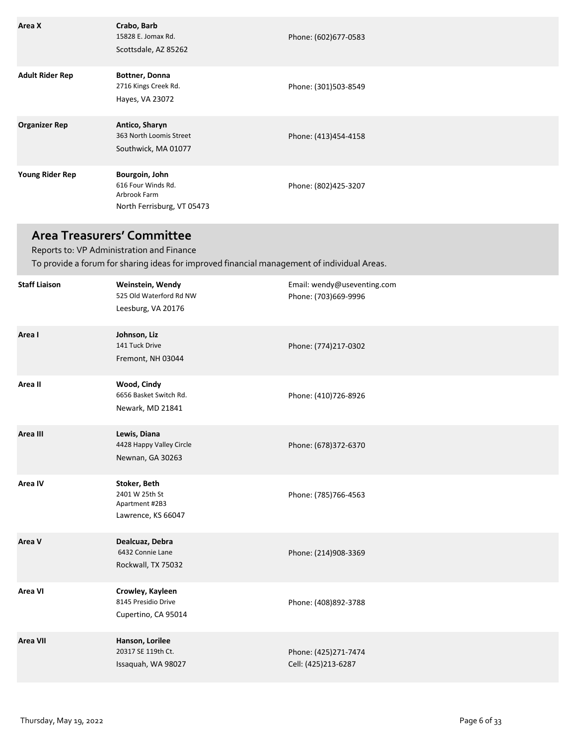| Area X                 | Crabo, Barb<br>15828 E. Jomax Rd.<br>Scottsdale, AZ 85262                          | Phone: (602)677-0583 |
|------------------------|------------------------------------------------------------------------------------|----------------------|
| <b>Adult Rider Rep</b> | Bottner, Donna<br>2716 Kings Creek Rd.<br>Hayes, VA 23072                          | Phone: (301)503-8549 |
| <b>Organizer Rep</b>   | Antico, Sharyn<br>363 North Loomis Street<br>Southwick, MA 01077                   | Phone: (413)454-4158 |
| <b>Young Rider Rep</b> | Bourgoin, John<br>616 Four Winds Rd.<br>Arbrook Farm<br>North Ferrisburg, VT 05473 | Phone: (802)425-3207 |

## **Area Treasurers' Committee**

To provide a forum for sharing ideas for improved financial management of individual Areas. Reports to: VP Administration and Finance

| <b>Staff Liaison</b> | Weinstein, Wendy<br>525 Old Waterford Rd NW<br>Leesburg, VA 20176      | Email: wendy@useventing.com<br>Phone: (703)669-9996 |
|----------------------|------------------------------------------------------------------------|-----------------------------------------------------|
| Area I               | Johnson, Liz<br>141 Tuck Drive<br>Fremont, NH 03044                    | Phone: (774)217-0302                                |
| Area II              | Wood, Cindy<br>6656 Basket Switch Rd.<br>Newark, MD 21841              | Phone: (410)726-8926                                |
| Area III             | Lewis, Diana<br>4428 Happy Valley Circle<br>Newnan, GA 30263           | Phone: (678)372-6370                                |
| Area IV              | Stoker, Beth<br>2401 W 25th St<br>Apartment #2B3<br>Lawrence, KS 66047 | Phone: (785)766-4563                                |
| Area V               | Dealcuaz, Debra<br>6432 Connie Lane<br>Rockwall, TX 75032              | Phone: (214)908-3369                                |
| Area VI              | Crowley, Kayleen<br>8145 Presidio Drive<br>Cupertino, CA 95014         | Phone: (408)892-3788                                |
| Area VII             | Hanson, Lorilee<br>20317 SE 119th Ct.<br>Issaquah, WA 98027            | Phone: (425)271-7474<br>Cell: (425)213-6287         |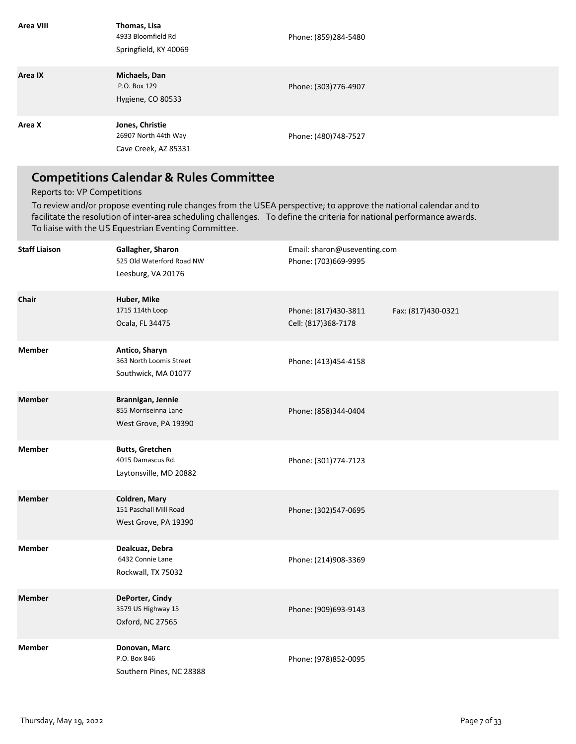| Area VIII | Thomas, Lisa<br>4933 Bloomfield Rd<br>Springfield, KY 40069     | Phone: (859)284-5480 |
|-----------|-----------------------------------------------------------------|----------------------|
| Area IX   | Michaels, Dan<br>P.O. Box 129<br>Hygiene, CO 80533              | Phone: (303)776-4907 |
| Area X    | Jones, Christie<br>26907 North 44th Way<br>Cave Creek, AZ 85331 | Phone: (480)748-7527 |

## **Competitions Calendar & Rules Committee**

#### Reports to: VP Competitions

To review and/or propose eventing rule changes from the USEA perspective; to approve the national calendar and to facilitate the resolution of inter-area scheduling challenges. To define the criteria for national performance awards. To liaise with the US Equestrian Eventing Committee.

| <b>Staff Liaison</b> | Gallagher, Sharon<br>525 Old Waterford Road NW<br>Leesburg, VA 20176  | Email: sharon@useventing.com<br>Phone: (703)669-9995 |                    |
|----------------------|-----------------------------------------------------------------------|------------------------------------------------------|--------------------|
| Chair                | Huber, Mike<br>1715 114th Loop<br>Ocala, FL 34475                     | Phone: (817)430-3811<br>Cell: (817)368-7178          | Fax: (817)430-0321 |
| <b>Member</b>        | Antico, Sharyn<br>363 North Loomis Street<br>Southwick, MA 01077      | Phone: (413)454-4158                                 |                    |
| <b>Member</b>        | Brannigan, Jennie<br>855 Morriseinna Lane<br>West Grove, PA 19390     | Phone: (858)344-0404                                 |                    |
| <b>Member</b>        | <b>Butts, Gretchen</b><br>4015 Damascus Rd.<br>Laytonsville, MD 20882 | Phone: (301)774-7123                                 |                    |
| <b>Member</b>        | Coldren, Mary<br>151 Paschall Mill Road<br>West Grove, PA 19390       | Phone: (302)547-0695                                 |                    |
| <b>Member</b>        | Dealcuaz, Debra<br>6432 Connie Lane<br>Rockwall, TX 75032             | Phone: (214)908-3369                                 |                    |
| <b>Member</b>        | DePorter, Cindy<br>3579 US Highway 15<br>Oxford, NC 27565             | Phone: (909)693-9143                                 |                    |
| <b>Member</b>        | Donovan, Marc<br>P.O. Box 846<br>Southern Pines, NC 28388             | Phone: (978)852-0095                                 |                    |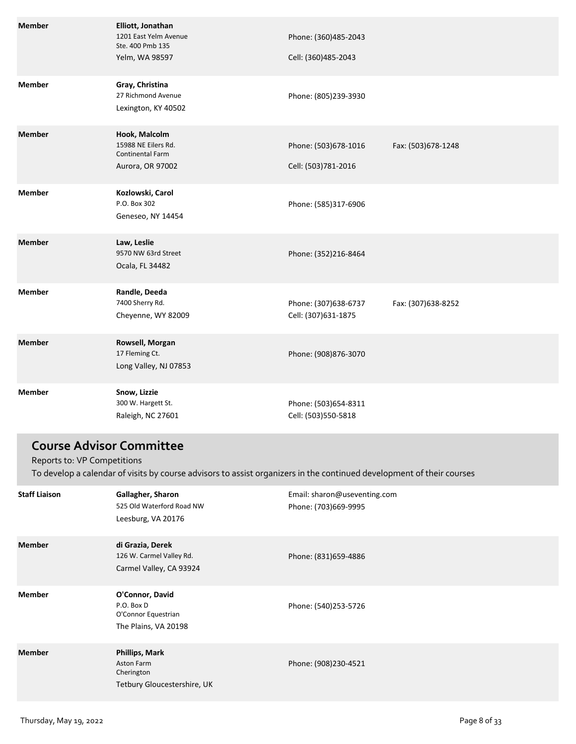| <b>Member</b>                   | Elliott, Jonathan<br>1201 East Yelm Avenue<br>Ste. 400 Pmb 135<br>Yelm, WA 98597 | Phone: (360)485-2043<br>Cell: (360)485-2043 |                    |
|---------------------------------|----------------------------------------------------------------------------------|---------------------------------------------|--------------------|
| <b>Member</b>                   | Gray, Christina<br>27 Richmond Avenue<br>Lexington, KY 40502                     | Phone: (805)239-3930                        |                    |
| <b>Member</b>                   | Hook, Malcolm<br>15988 NE Eilers Rd.<br>Continental Farm<br>Aurora, OR 97002     | Phone: (503)678-1016<br>Cell: (503)781-2016 | Fax: (503)678-1248 |
| <b>Member</b>                   | Kozlowski, Carol<br>P.O. Box 302<br>Geneseo, NY 14454                            | Phone: (585)317-6906                        |                    |
| <b>Member</b>                   | Law, Leslie<br>9570 NW 63rd Street<br>Ocala, FL 34482                            | Phone: (352)216-8464                        |                    |
| <b>Member</b>                   | Randle, Deeda<br>7400 Sherry Rd.<br>Cheyenne, WY 82009                           | Phone: (307)638-6737<br>Cell: (307)631-1875 | Fax: (307)638-8252 |
| <b>Member</b>                   | Rowsell, Morgan<br>17 Fleming Ct.<br>Long Valley, NJ 07853                       | Phone: (908)876-3070                        |                    |
| <b>Member</b>                   | Snow, Lizzie<br>300 W. Hargett St.<br>Raleigh, NC 27601                          | Phone: (503)654-8311<br>Cell: (503)550-5818 |                    |
| <b>Course Advisor Committee</b> |                                                                                  |                                             |                    |

Reports to: VP Competitions

To develop a calendar of visits by course advisors to assist organizers in the continued development of their courses

| <b>Staff Liaison</b> | Gallagher, Sharon<br>525 Old Waterford Road NW<br>Leesburg, VA 20176         | Email: sharon@useventing.com<br>Phone: (703)669-9995 |
|----------------------|------------------------------------------------------------------------------|------------------------------------------------------|
| <b>Member</b>        | di Grazia, Derek<br>126 W. Carmel Valley Rd.<br>Carmel Valley, CA 93924      | Phone: (831)659-4886                                 |
| <b>Member</b>        | O'Connor, David<br>P.O. Box D<br>O'Connor Equestrian<br>The Plains, VA 20198 | Phone: (540)253-5726                                 |
| <b>Member</b>        | Phillips, Mark<br>Aston Farm<br>Cherington<br>Tetbury Gloucestershire, UK    | Phone: (908)230-4521                                 |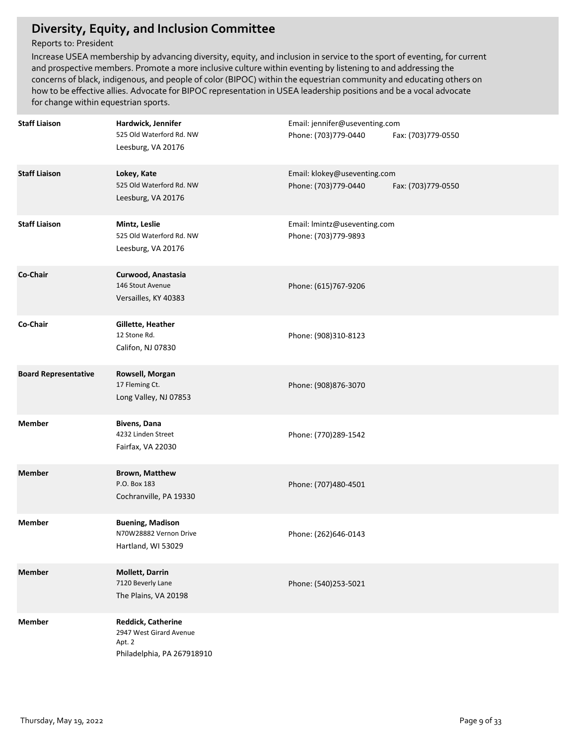## **Diversity, Equity, and Inclusion Committee**

### Reports to: President

Increase USEA membership by advancing diversity, equity, and inclusion in service to the sport of eventing, for current and prospective members. Promote a more inclusive culture within eventing by listening to and addressing the concerns of black, indigenous, and people of color (BIPOC) within the equestrian community and educating others on how to be effective allies. Advocate for BIPOC representation in USEA leadership positions and be a vocal advocate for change within equestrian sports.

| <b>Staff Liaison</b>        | Hardwick, Jennifer<br>525 Old Waterford Rd. NW<br>Leesburg, VA 20176                         | Email: jennifer@useventing.com<br>Phone: (703)779-0440<br>Fax: (703)779-0550 |
|-----------------------------|----------------------------------------------------------------------------------------------|------------------------------------------------------------------------------|
| <b>Staff Liaison</b>        | Lokey, Kate<br>525 Old Waterford Rd. NW<br>Leesburg, VA 20176                                | Email: klokey@useventing.com<br>Phone: (703)779-0440<br>Fax: (703)779-0550   |
| <b>Staff Liaison</b>        | Mintz, Leslie<br>525 Old Waterford Rd. NW<br>Leesburg, VA 20176                              | Email: Imintz@useventing.com<br>Phone: (703)779-9893                         |
| Co-Chair                    | Curwood, Anastasia<br>146 Stout Avenue<br>Versailles, KY 40383                               | Phone: (615)767-9206                                                         |
| Co-Chair                    | Gillette, Heather<br>12 Stone Rd.<br>Califon, NJ 07830                                       | Phone: (908)310-8123                                                         |
| <b>Board Representative</b> | Rowsell, Morgan<br>17 Fleming Ct.<br>Long Valley, NJ 07853                                   | Phone: (908)876-3070                                                         |
| <b>Member</b>               | Bivens, Dana<br>4232 Linden Street<br>Fairfax, VA 22030                                      | Phone: (770)289-1542                                                         |
| <b>Member</b>               | <b>Brown, Matthew</b><br>P.O. Box 183<br>Cochranville, PA 19330                              | Phone: (707)480-4501                                                         |
| <b>Member</b>               | <b>Buening, Madison</b><br>N70W28882 Vernon Drive<br>Hartland, WI 53029                      | Phone: (262)646-0143                                                         |
| <b>Member</b>               | <b>Mollett, Darrin</b><br>7120 Beverly Lane<br>The Plains, VA 20198                          | Phone: (540)253-5021                                                         |
| <b>Member</b>               | <b>Reddick, Catherine</b><br>2947 West Girard Avenue<br>Apt. 2<br>Philadelphia, PA 267918910 |                                                                              |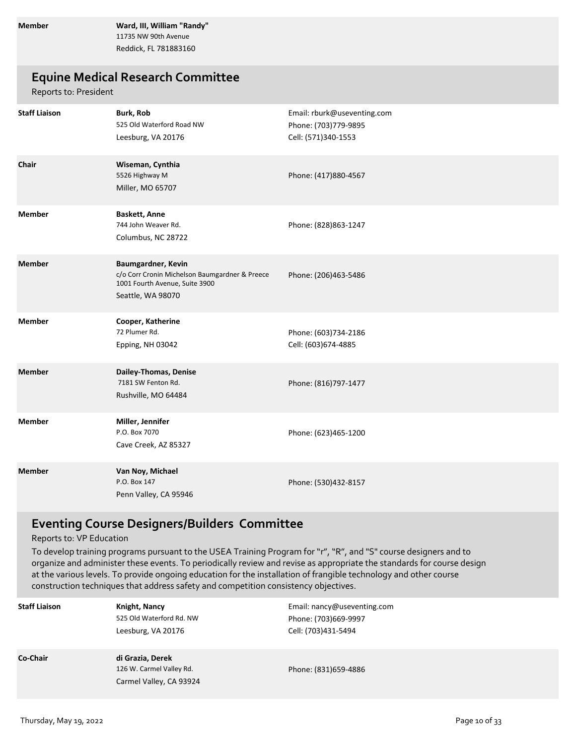**Member Ward, III, William "Randy"** 11735 NW 90th Avenue Reddick, FL 781883160

### **Equine Medical Research Committee**

Reports to: President

| <b>Staff Liaison</b> | Burk, Rob<br>525 Old Waterford Road NW<br>Leesburg, VA 20176                                                                | Email: rburk@useventing.com<br>Phone: (703)779-9895<br>Cell: (571)340-1553 |
|----------------------|-----------------------------------------------------------------------------------------------------------------------------|----------------------------------------------------------------------------|
| Chair                | Wiseman, Cynthia<br>5526 Highway M<br>Miller, MO 65707                                                                      | Phone: (417)880-4567                                                       |
| <b>Member</b>        | <b>Baskett, Anne</b><br>744 John Weaver Rd.<br>Columbus, NC 28722                                                           | Phone: (828)863-1247                                                       |
| <b>Member</b>        | Baumgardner, Kevin<br>c/o Corr Cronin Michelson Baumgardner & Preece<br>1001 Fourth Avenue, Suite 3900<br>Seattle, WA 98070 | Phone: (206)463-5486                                                       |
| <b>Member</b>        | Cooper, Katherine<br>72 Plumer Rd.<br>Epping, NH 03042                                                                      | Phone: (603)734-2186<br>Cell: (603)674-4885                                |
| <b>Member</b>        | Dailey-Thomas, Denise<br>7181 SW Fenton Rd.<br>Rushville, MO 64484                                                          | Phone: (816)797-1477                                                       |
| <b>Member</b>        | Miller, Jennifer<br>P.O. Box 7070<br>Cave Creek, AZ 85327                                                                   | Phone: (623)465-1200                                                       |
| <b>Member</b>        | Van Noy, Michael<br>P.O. Box 147<br>Penn Valley, CA 95946                                                                   | Phone: (530)432-8157                                                       |

## **Eventing Course Designers/Builders Committee**

Reports to: VP Education

To develop training programs pursuant to the USEA Training Program for "r", "R", and "S" course designers and to organize and administer these events. To periodically review and revise as appropriate the standards for course design at the various levels. To provide ongoing education for the installation of frangible technology and other course construction techniques that address safety and competition consistency objectives.

| <b>Staff Liaison</b> | Knight, Nancy<br>525 Old Waterford Rd. NW<br>Leesburg, VA 20176         | Email: nancy@useventing.com<br>Phone: (703)669-9997<br>Cell: (703)431-5494 |
|----------------------|-------------------------------------------------------------------------|----------------------------------------------------------------------------|
| Co-Chair             | di Grazia, Derek<br>126 W. Carmel Valley Rd.<br>Carmel Valley, CA 93924 | Phone: (831)659-4886                                                       |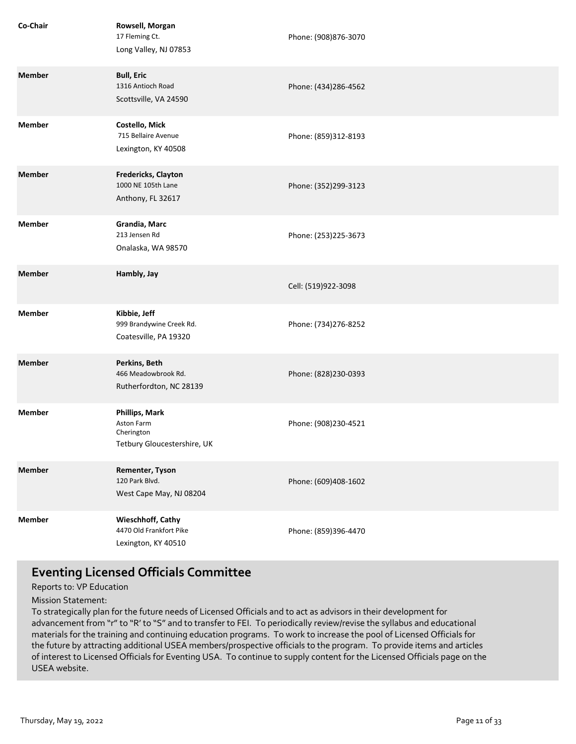| Co-Chair      | Rowsell, Morgan<br>17 Fleming Ct.<br>Long Valley, NJ 07853                       | Phone: (908)876-3070 |
|---------------|----------------------------------------------------------------------------------|----------------------|
| <b>Member</b> | <b>Bull, Eric</b><br>1316 Antioch Road<br>Scottsville, VA 24590                  | Phone: (434)286-4562 |
| <b>Member</b> | Costello, Mick<br>715 Bellaire Avenue<br>Lexington, KY 40508                     | Phone: (859)312-8193 |
| <b>Member</b> | Fredericks, Clayton<br>1000 NE 105th Lane<br>Anthony, FL 32617                   | Phone: (352)299-3123 |
| <b>Member</b> | Grandia, Marc<br>213 Jensen Rd<br>Onalaska, WA 98570                             | Phone: (253)225-3673 |
| <b>Member</b> | Hambly, Jay                                                                      | Cell: (519)922-3098  |
| <b>Member</b> | Kibbie, Jeff<br>999 Brandywine Creek Rd.<br>Coatesville, PA 19320                | Phone: (734)276-8252 |
| <b>Member</b> | Perkins, Beth<br>466 Meadowbrook Rd.<br>Rutherfordton, NC 28139                  | Phone: (828)230-0393 |
| <b>Member</b> | <b>Phillips, Mark</b><br>Aston Farm<br>Cherington<br>Tetbury Gloucestershire, UK | Phone: (908)230-4521 |
| <b>Member</b> | Rementer, Tyson<br>120 Park Blvd.<br>West Cape May, NJ 08204                     | Phone: (609)408-1602 |
| <b>Member</b> | Wieschhoff, Cathy<br>4470 Old Frankfort Pike<br>Lexington, KY 40510              | Phone: (859)396-4470 |

## **Eventing Licensed Officials Committee**

Reports to: VP Education

Mission Statement:

To strategically plan for the future needs of Licensed Officials and to act as advisors in their development for advancement from "r" to "R' to "S" and to transfer to FEI. To periodically review/revise the syllabus and educational materials for the training and continuing education programs. To work to increase the pool of Licensed Officials for the future by attracting additional USEA members/prospective officials to the program. To provide items and articles of interest to Licensed Officials for Eventing USA. To continue to supply content for the Licensed Officials page on the USEA website.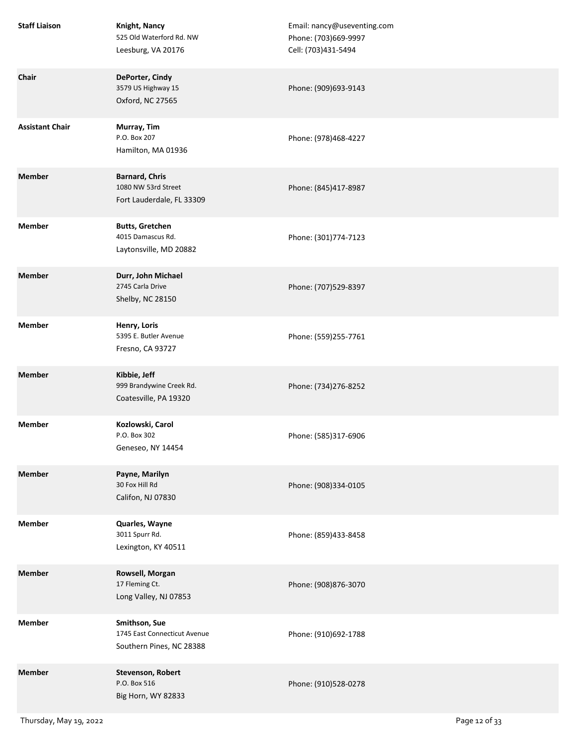| <b>Staff Liaison</b>   | Knight, Nancy<br>525 Old Waterford Rd. NW<br>Leesburg, VA 20176           | Email: nancy@useventing.com<br>Phone: (703)669-9997<br>Cell: (703)431-5494 |
|------------------------|---------------------------------------------------------------------------|----------------------------------------------------------------------------|
| Chair                  | DePorter, Cindy<br>3579 US Highway 15<br>Oxford, NC 27565                 | Phone: (909)693-9143                                                       |
| <b>Assistant Chair</b> | Murray, Tim<br>P.O. Box 207<br>Hamilton, MA 01936                         | Phone: (978)468-4227                                                       |
| <b>Member</b>          | <b>Barnard, Chris</b><br>1080 NW 53rd Street<br>Fort Lauderdale, FL 33309 | Phone: (845)417-8987                                                       |
| <b>Member</b>          | <b>Butts, Gretchen</b><br>4015 Damascus Rd.<br>Laytonsville, MD 20882     | Phone: (301)774-7123                                                       |
| <b>Member</b>          | Durr, John Michael<br>2745 Carla Drive<br>Shelby, NC 28150                | Phone: (707)529-8397                                                       |
| <b>Member</b>          | Henry, Loris<br>5395 E. Butler Avenue<br>Fresno, CA 93727                 | Phone: (559)255-7761                                                       |
| <b>Member</b>          | Kibbie, Jeff<br>999 Brandywine Creek Rd.<br>Coatesville, PA 19320         | Phone: (734)276-8252                                                       |
| <b>Member</b>          | Kozlowski, Carol<br>P.O. Box 302<br>Geneseo, NY 14454                     | Phone: (585)317-6906                                                       |
| <b>Member</b>          | Payne, Marilyn<br>30 Fox Hill Rd<br>Califon, NJ 07830                     | Phone: (908)334-0105                                                       |
| <b>Member</b>          | Quarles, Wayne<br>3011 Spurr Rd.<br>Lexington, KY 40511                   | Phone: (859)433-8458                                                       |
| <b>Member</b>          | Rowsell, Morgan<br>17 Fleming Ct.<br>Long Valley, NJ 07853                | Phone: (908)876-3070                                                       |
| <b>Member</b>          | Smithson, Sue<br>1745 East Connecticut Avenue<br>Southern Pines, NC 28388 | Phone: (910)692-1788                                                       |
| <b>Member</b>          | Stevenson, Robert<br>P.O. Box 516<br>Big Horn, WY 82833                   | Phone: (910)528-0278                                                       |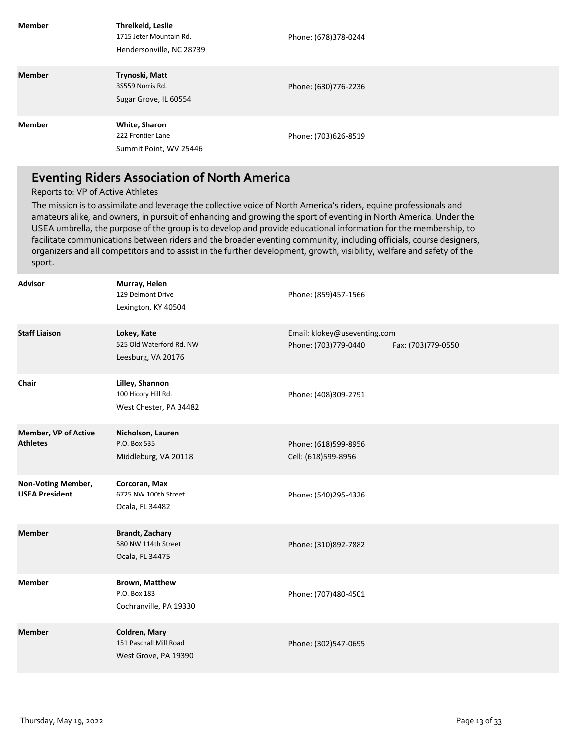| <b>Member</b> | Threlkeld, Leslie<br>1715 Jeter Mountain Rd.<br>Hendersonville, NC 28739 | Phone: (678)378-0244 |
|---------------|--------------------------------------------------------------------------|----------------------|
| <b>Member</b> | Trynoski, Matt<br>3S559 Norris Rd.<br>Sugar Grove, IL 60554              | Phone: (630)776-2236 |
| <b>Member</b> | White, Sharon<br>222 Frontier Lane<br>Summit Point, WV 25446             | Phone: (703)626-8519 |

## **Eventing Riders Association of North America**

#### Reports to: VP of Active Athletes

The mission is to assimilate and leverage the collective voice of North America's riders, equine professionals and amateurs alike, and owners, in pursuit of enhancing and growing the sport of eventing in North America. Under the USEA umbrella, the purpose of the group is to develop and provide educational information for the membership, to facilitate communications between riders and the broader eventing community, including officials, course designers, organizers and all competitors and to assist in the further development, growth, visibility, welfare and safety of the sport.

| <b>Advisor</b>                              | Murray, Helen<br>129 Delmont Drive<br>Lexington, KY 40504        | Phone: (859)457-1566                                                       |
|---------------------------------------------|------------------------------------------------------------------|----------------------------------------------------------------------------|
| <b>Staff Liaison</b>                        | Lokey, Kate<br>525 Old Waterford Rd. NW<br>Leesburg, VA 20176    | Email: klokey@useventing.com<br>Phone: (703)779-0440<br>Fax: (703)779-0550 |
| Chair                                       | Lilley, Shannon<br>100 Hicory Hill Rd.<br>West Chester, PA 34482 | Phone: (408)309-2791                                                       |
| Member, VP of Active<br><b>Athletes</b>     | Nicholson, Lauren<br>P.O. Box 535<br>Middleburg, VA 20118        | Phone: (618)599-8956<br>Cell: (618)599-8956                                |
| Non-Voting Member,<br><b>USEA President</b> | Corcoran, Max<br>6725 NW 100th Street<br>Ocala, FL 34482         | Phone: (540)295-4326                                                       |
| <b>Member</b>                               | <b>Brandt, Zachary</b><br>580 NW 114th Street<br>Ocala, FL 34475 | Phone: (310)892-7882                                                       |
| <b>Member</b>                               | <b>Brown, Matthew</b><br>P.O. Box 183<br>Cochranville, PA 19330  | Phone: (707)480-4501                                                       |
| <b>Member</b>                               | Coldren, Mary<br>151 Paschall Mill Road<br>West Grove, PA 19390  | Phone: (302)547-0695                                                       |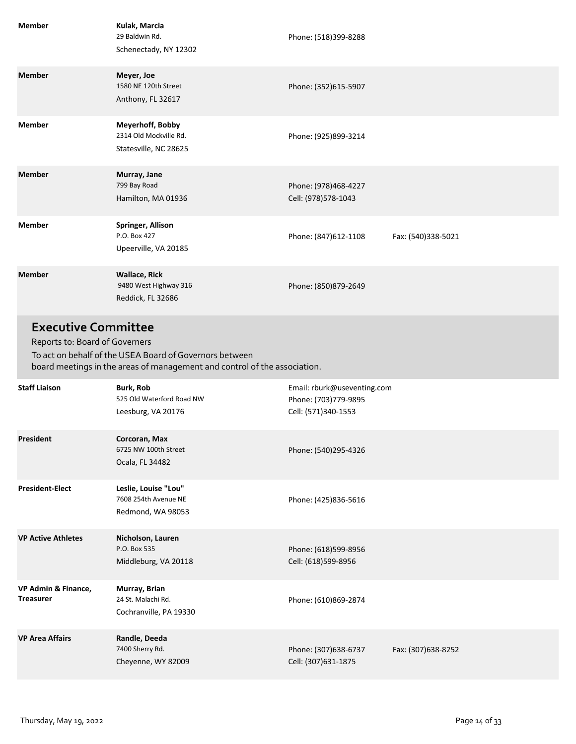| <b>Member</b>                                                | Kulak, Marcia<br>29 Baldwin Rd.<br>Schenectady, NY 12302                                                                             | Phone: (518)399-8288                                                       |                    |
|--------------------------------------------------------------|--------------------------------------------------------------------------------------------------------------------------------------|----------------------------------------------------------------------------|--------------------|
| <b>Member</b>                                                | Meyer, Joe<br>1580 NE 120th Street<br>Anthony, FL 32617                                                                              | Phone: (352)615-5907                                                       |                    |
| <b>Member</b>                                                | Meyerhoff, Bobby<br>2314 Old Mockville Rd.<br>Statesville, NC 28625                                                                  | Phone: (925)899-3214                                                       |                    |
| <b>Member</b>                                                | Murray, Jane<br>799 Bay Road<br>Hamilton, MA 01936                                                                                   | Phone: (978)468-4227<br>Cell: (978)578-1043                                |                    |
| <b>Member</b>                                                | Springer, Allison<br>P.O. Box 427<br>Upeerville, VA 20185                                                                            | Phone: (847)612-1108                                                       | Fax: (540)338-5021 |
| <b>Member</b>                                                | <b>Wallace, Rick</b><br>9480 West Highway 316<br>Reddick, FL 32686                                                                   | Phone: (850)879-2649                                                       |                    |
| <b>Executive Committee</b><br>Reports to: Board of Governers |                                                                                                                                      |                                                                            |                    |
|                                                              | To act on behalf of the USEA Board of Governors between<br>board meetings in the areas of management and control of the association. |                                                                            |                    |
| <b>Staff Liaison</b>                                         | <b>Burk, Rob</b><br>525 Old Waterford Road NW<br>Leesburg, VA 20176                                                                  | Email: rburk@useventing.com<br>Phone: (703)779-9895<br>Cell: (571)340-1553 |                    |
| President                                                    | Corcoran, Max<br>6725 NW 100th Street<br>Ocala, FL 34482                                                                             | Phone: (540)295-4326                                                       |                    |
| <b>President-Elect</b>                                       | Leslie, Louise "Lou"<br>7608 254th Avenue NE<br>Redmond, WA 98053                                                                    | Phone: (425)836-5616                                                       |                    |
| <b>VP Active Athletes</b>                                    | Nicholson, Lauren<br>P.O. Box 535<br>Middleburg, VA 20118                                                                            | Phone: (618)599-8956<br>Cell: (618)599-8956                                |                    |
| VP Admin & Finance,<br><b>Treasurer</b>                      | Murray, Brian<br>24 St. Malachi Rd.<br>Cochranville, PA 19330                                                                        | Phone: (610)869-2874                                                       |                    |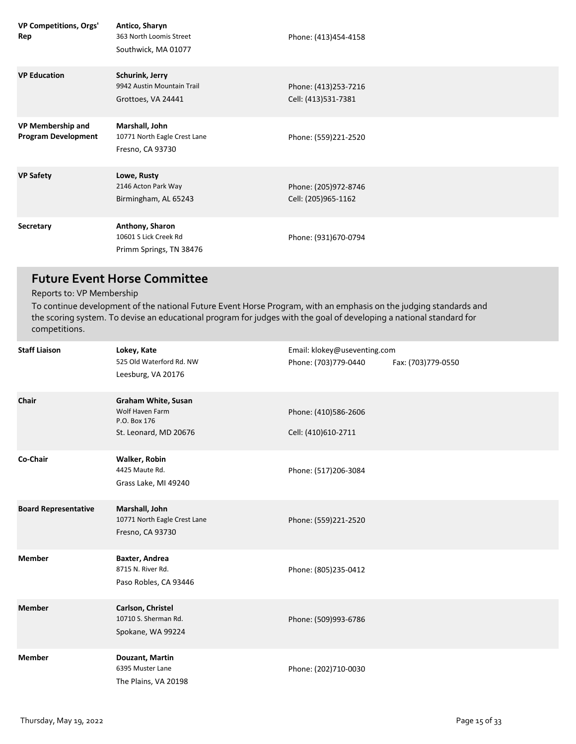| VP Competitions, Orgs'<br>Rep                   | Antico, Sharyn<br>363 North Loomis Street<br>Southwick, MA 01077    | Phone: (413)454-4158                        |
|-------------------------------------------------|---------------------------------------------------------------------|---------------------------------------------|
| <b>VP Education</b>                             | Schurink, Jerry<br>9942 Austin Mountain Trail<br>Grottoes, VA 24441 | Phone: (413)253-7216<br>Cell: (413)531-7381 |
| VP Membership and<br><b>Program Development</b> | Marshall, John<br>10771 North Eagle Crest Lane<br>Fresno, CA 93730  | Phone: (559)221-2520                        |
| <b>VP Safety</b>                                | Lowe, Rusty<br>2146 Acton Park Way<br>Birmingham, AL 65243          | Phone: (205)972-8746<br>Cell: (205)965-1162 |
| Secretary                                       | Anthony, Sharon<br>10601 S Lick Creek Rd<br>Primm Springs, TN 38476 | Phone: (931)670-0794                        |

## **Future Event Horse Committee**

Reports to: VP Membership

To continue development of the national Future Event Horse Program, with an emphasis on the judging standards and the scoring system. To devise an educational program for judges with the goal of developing a national standard for competitions.

| <b>Staff Liaison</b>        | Lokey, Kate<br>525 Old Waterford Rd. NW<br>Leesburg, VA 20176                   | Email: klokey@useventing.com<br>Phone: (703)779-0440 | Fax: (703)779-0550 |
|-----------------------------|---------------------------------------------------------------------------------|------------------------------------------------------|--------------------|
| Chair                       | Graham White, Susan<br>Wolf Haven Farm<br>P.O. Box 176<br>St. Leonard, MD 20676 | Phone: (410)586-2606<br>Cell: (410)610-2711          |                    |
| Co-Chair                    | Walker, Robin<br>4425 Maute Rd.<br>Grass Lake, MI 49240                         | Phone: (517)206-3084                                 |                    |
| <b>Board Representative</b> | Marshall, John<br>10771 North Eagle Crest Lane<br>Fresno, CA 93730              | Phone: (559)221-2520                                 |                    |
| <b>Member</b>               | Baxter, Andrea<br>8715 N. River Rd.<br>Paso Robles, CA 93446                    | Phone: (805)235-0412                                 |                    |
| <b>Member</b>               | Carlson, Christel<br>10710 S. Sherman Rd.<br>Spokane, WA 99224                  | Phone: (509)993-6786                                 |                    |
| <b>Member</b>               | Douzant, Martin<br>6395 Muster Lane<br>The Plains, VA 20198                     | Phone: (202)710-0030                                 |                    |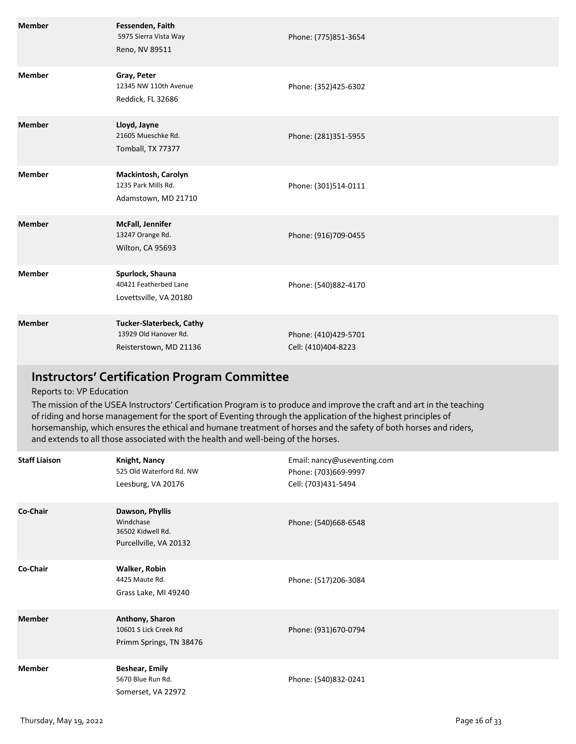| <b>Member</b> | Fessenden, Faith<br>5975 Sierra Vista Way<br>Reno, NV 89511                        | Phone: (775)851-3654                        |
|---------------|------------------------------------------------------------------------------------|---------------------------------------------|
| <b>Member</b> | Gray, Peter<br>12345 NW 110th Avenue<br>Reddick, FL 32686                          | Phone: (352)425-6302                        |
| <b>Member</b> | Lloyd, Jayne<br>21605 Mueschke Rd.<br>Tomball, TX 77377                            | Phone: (281)351-5955                        |
| <b>Member</b> | Mackintosh, Carolyn<br>1235 Park Mills Rd.<br>Adamstown, MD 21710                  | Phone: (301)514-0111                        |
| <b>Member</b> | McFall, Jennifer<br>13247 Orange Rd.<br>Wilton, CA 95693                           | Phone: (916)709-0455                        |
| <b>Member</b> | Spurlock, Shauna<br>40421 Featherbed Lane<br>Lovettsville, VA 20180                | Phone: (540)882-4170                        |
| <b>Member</b> | <b>Tucker-Slaterbeck, Cathy</b><br>13929 Old Hanover Rd.<br>Reisterstown, MD 21136 | Phone: (410)429-5701<br>Cell: (410)404-8223 |

## **Instructors' Certification Program Committee**

### Reports to: VP Education

The mission of the USEA Instructors' Certification Program is to produce and improve the craft and art in the teaching of riding and horse management for the sport of Eventing through the application of the highest principles of horsemanship, which ensures the ethical and humane treatment of horses and the safety of both horses and riders, and extends to all those associated with the health and well-being of the horses.

| <b>Staff Liaison</b> | <b>Knight, Nancy</b><br>525 Old Waterford Rd. NW<br>Leesburg, VA 20176      | Email: nancy@useventing.com<br>Phone: (703)669-9997<br>Cell: (703)431-5494 |
|----------------------|-----------------------------------------------------------------------------|----------------------------------------------------------------------------|
| Co-Chair             | Dawson, Phyllis<br>Windchase<br>36502 Kidwell Rd.<br>Purcellville, VA 20132 | Phone: (540)668-6548                                                       |
| Co-Chair             | Walker, Robin<br>4425 Maute Rd.<br>Grass Lake, MI 49240                     | Phone: (517)206-3084                                                       |
| <b>Member</b>        | Anthony, Sharon<br>10601 S Lick Creek Rd<br>Primm Springs, TN 38476         | Phone: (931)670-0794                                                       |
| Member               | <b>Beshear, Emily</b><br>5670 Blue Run Rd.<br>Somerset, VA 22972            | Phone: (540)832-0241                                                       |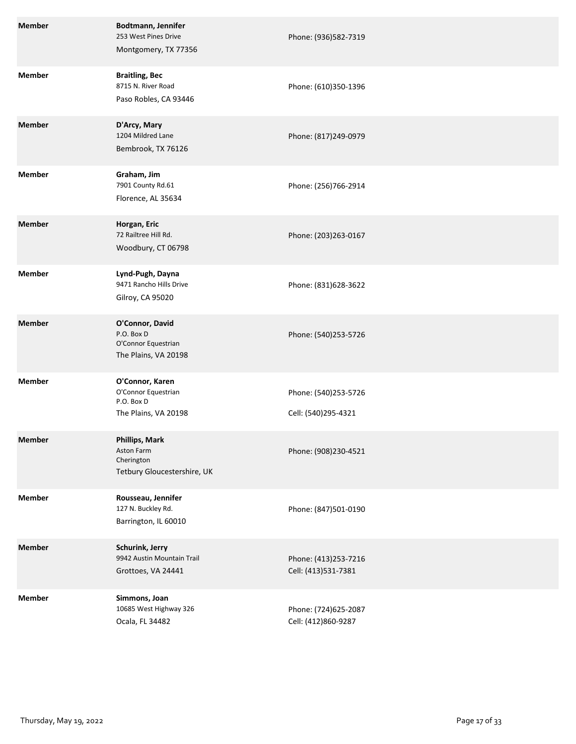| <b>Member</b> | Bodtmann, Jennifer<br>253 West Pines Drive<br>Montgomery, TX 77356               | Phone: (936)582-7319                        |
|---------------|----------------------------------------------------------------------------------|---------------------------------------------|
| <b>Member</b> | <b>Braitling, Bec</b><br>8715 N. River Road<br>Paso Robles, CA 93446             | Phone: (610)350-1396                        |
| <b>Member</b> | D'Arcy, Mary<br>1204 Mildred Lane<br>Bembrook, TX 76126                          | Phone: (817)249-0979                        |
| <b>Member</b> | Graham, Jim<br>7901 County Rd.61<br>Florence, AL 35634                           | Phone: (256)766-2914                        |
| <b>Member</b> | Horgan, Eric<br>72 Railtree Hill Rd.<br>Woodbury, CT 06798                       | Phone: (203)263-0167                        |
| <b>Member</b> | Lynd-Pugh, Dayna<br>9471 Rancho Hills Drive<br>Gilroy, CA 95020                  | Phone: (831)628-3622                        |
| <b>Member</b> | O'Connor, David<br>P.O. Box D<br>O'Connor Equestrian<br>The Plains, VA 20198     | Phone: (540)253-5726                        |
| <b>Member</b> | O'Connor, Karen<br>O'Connor Equestrian<br>P.O. Box D<br>The Plains, VA 20198     | Phone: (540)253-5726<br>Cell: (540)295-4321 |
| <b>Member</b> | <b>Phillips, Mark</b><br>Aston Farm<br>Cherington<br>Tetbury Gloucestershire, UK | Phone: (908)230-4521                        |
| <b>Member</b> | Rousseau, Jennifer<br>127 N. Buckley Rd.<br>Barrington, IL 60010                 | Phone: (847)501-0190                        |
| <b>Member</b> | Schurink, Jerry<br>9942 Austin Mountain Trail<br>Grottoes, VA 24441              | Phone: (413)253-7216<br>Cell: (413)531-7381 |
| <b>Member</b> | Simmons, Joan<br>10685 West Highway 326<br>Ocala, FL 34482                       | Phone: (724)625-2087<br>Cell: (412)860-9287 |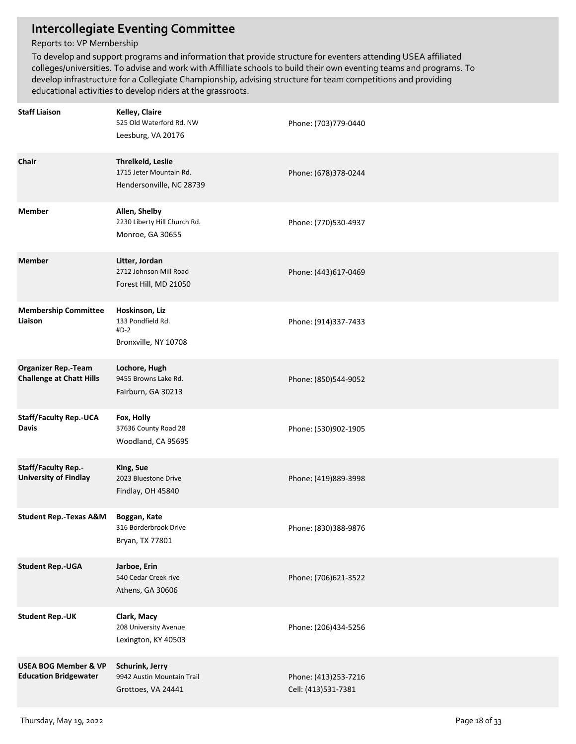## **Intercollegiate Eventing Committee**

### Reports to: VP Membership

To develop and support programs and information that provide structure for eventers attending USEA affiliated colleges/universities. To advise and work with Affilliate schools to build their own eventing teams and programs. To develop infrastructure for a Collegiate Championship, advising structure for team competitions and providing educational activities to develop riders at the grassroots.

| <b>Staff Liaison</b>                                            | Kelley, Claire<br>525 Old Waterford Rd. NW<br>Leesburg, VA 20176         | Phone: (703)779-0440                        |
|-----------------------------------------------------------------|--------------------------------------------------------------------------|---------------------------------------------|
| Chair                                                           | Threlkeld, Leslie<br>1715 Jeter Mountain Rd.<br>Hendersonville, NC 28739 | Phone: (678)378-0244                        |
| <b>Member</b>                                                   | Allen, Shelby<br>2230 Liberty Hill Church Rd.<br>Monroe, GA 30655        | Phone: (770)530-4937                        |
| <b>Member</b>                                                   | Litter, Jordan<br>2712 Johnson Mill Road<br>Forest Hill, MD 21050        | Phone: (443)617-0469                        |
| <b>Membership Committee</b><br>Liaison                          | Hoskinson, Liz<br>133 Pondfield Rd.<br>$#D-2$<br>Bronxville, NY 10708    | Phone: (914)337-7433                        |
| <b>Organizer Rep.-Team</b><br><b>Challenge at Chatt Hills</b>   | Lochore, Hugh<br>9455 Browns Lake Rd.<br>Fairburn, GA 30213              | Phone: (850)544-9052                        |
| <b>Staff/Faculty Rep.-UCA</b><br>Davis                          | Fox, Holly<br>37636 County Road 28<br>Woodland, CA 95695                 | Phone: (530)902-1905                        |
| <b>Staff/Faculty Rep.-</b><br><b>University of Findlay</b>      | King, Sue<br>2023 Bluestone Drive<br>Findlay, OH 45840                   | Phone: (419)889-3998                        |
| <b>Student Rep.-Texas A&amp;M</b>                               | Boggan, Kate<br>316 Borderbrook Drive<br>Bryan, TX 77801                 | Phone: (830)388-9876                        |
| <b>Student Rep.-UGA</b>                                         | Jarboe, Erin<br>540 Cedar Creek rive<br>Athens, GA 30606                 | Phone: (706)621-3522                        |
| <b>Student Rep.-UK</b>                                          | Clark, Macy<br>208 University Avenue<br>Lexington, KY 40503              | Phone: (206)434-5256                        |
| <b>USEA BOG Member &amp; VP</b><br><b>Education Bridgewater</b> | Schurink, Jerry<br>9942 Austin Mountain Trail<br>Grottoes, VA 24441      | Phone: (413)253-7216<br>Cell: (413)531-7381 |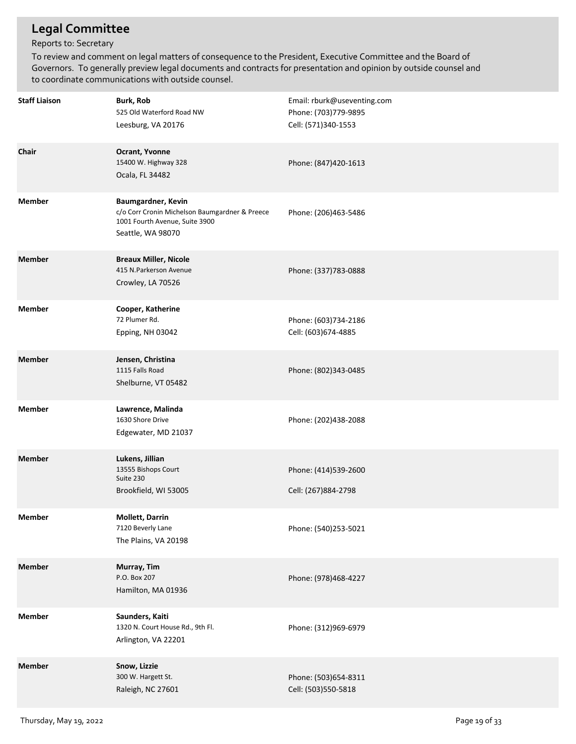## **Legal Committee**

### Reports to: Secretary

To review and comment on legal matters of consequence to the President, Executive Committee and the Board of Governors. To generally preview legal documents and contracts for presentation and opinion by outside counsel and to coordinate communications with outside counsel.

| <b>Staff Liaison</b> | <b>Burk, Rob</b><br>525 Old Waterford Road NW<br>Leesburg, VA 20176                                                         | Email: rburk@useventing.com<br>Phone: (703)779-9895<br>Cell: (571)340-1553 |
|----------------------|-----------------------------------------------------------------------------------------------------------------------------|----------------------------------------------------------------------------|
| Chair                | Ocrant, Yvonne<br>15400 W. Highway 328<br>Ocala, FL 34482                                                                   | Phone: (847)420-1613                                                       |
| <b>Member</b>        | Baumgardner, Kevin<br>c/o Corr Cronin Michelson Baumgardner & Preece<br>1001 Fourth Avenue, Suite 3900<br>Seattle, WA 98070 | Phone: (206)463-5486                                                       |
| <b>Member</b>        | <b>Breaux Miller, Nicole</b><br>415 N.Parkerson Avenue<br>Crowley, LA 70526                                                 | Phone: (337)783-0888                                                       |
| <b>Member</b>        | Cooper, Katherine<br>72 Plumer Rd.<br>Epping, NH 03042                                                                      | Phone: (603)734-2186<br>Cell: (603)674-4885                                |
| <b>Member</b>        | Jensen, Christina<br>1115 Falls Road<br>Shelburne, VT 05482                                                                 | Phone: (802)343-0485                                                       |
| <b>Member</b>        | Lawrence, Malinda<br>1630 Shore Drive<br>Edgewater, MD 21037                                                                | Phone: (202)438-2088                                                       |
| <b>Member</b>        | Lukens, Jillian<br>13555 Bishops Court<br>Suite 230<br>Brookfield, WI 53005                                                 | Phone: (414)539-2600<br>Cell: (267)884-2798                                |
| Member               | <b>Mollett, Darrin</b><br>7120 Beverly Lane<br>The Plains, VA 20198                                                         | Phone: (540)253-5021                                                       |
| <b>Member</b>        | Murray, Tim<br>P.O. Box 207<br>Hamilton, MA 01936                                                                           | Phone: (978)468-4227                                                       |
| <b>Member</b>        | Saunders, Kaiti<br>1320 N. Court House Rd., 9th Fl.<br>Arlington, VA 22201                                                  | Phone: (312)969-6979                                                       |
| <b>Member</b>        | Snow, Lizzie<br>300 W. Hargett St.<br>Raleigh, NC 27601                                                                     | Phone: (503)654-8311<br>Cell: (503)550-5818                                |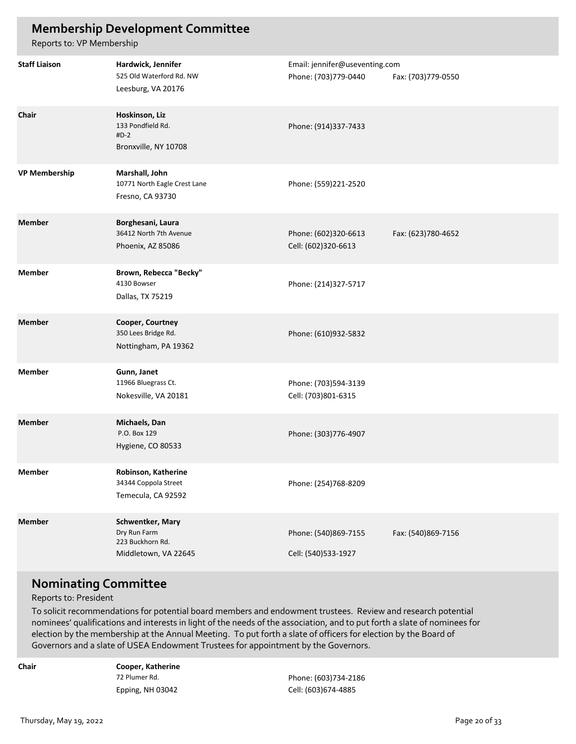## **Membership Development Committee**

Reports to: VP Membership

| <b>Staff Liaison</b> | Hardwick, Jennifer<br>525 Old Waterford Rd. NW<br>Leesburg, VA 20176         | Email: jennifer@useventing.com<br>Phone: (703)779-0440 | Fax: (703)779-0550 |
|----------------------|------------------------------------------------------------------------------|--------------------------------------------------------|--------------------|
| Chair                | Hoskinson, Liz<br>133 Pondfield Rd.<br>$#D-2$<br>Bronxville, NY 10708        | Phone: (914)337-7433                                   |                    |
| <b>VP Membership</b> | Marshall, John<br>10771 North Eagle Crest Lane<br>Fresno, CA 93730           | Phone: (559)221-2520                                   |                    |
| <b>Member</b>        | Borghesani, Laura<br>36412 North 7th Avenue<br>Phoenix, AZ 85086             | Phone: (602)320-6613<br>Cell: (602)320-6613            | Fax: (623)780-4652 |
| <b>Member</b>        | Brown, Rebecca "Becky"<br>4130 Bowser<br>Dallas, TX 75219                    | Phone: (214)327-5717                                   |                    |
| <b>Member</b>        | Cooper, Courtney<br>350 Lees Bridge Rd.<br>Nottingham, PA 19362              | Phone: (610)932-5832                                   |                    |
| <b>Member</b>        | Gunn, Janet<br>11966 Bluegrass Ct.<br>Nokesville, VA 20181                   | Phone: (703)594-3139<br>Cell: (703)801-6315            |                    |
| <b>Member</b>        | Michaels, Dan<br>P.O. Box 129<br>Hygiene, CO 80533                           | Phone: (303)776-4907                                   |                    |
| Member               | Robinson, Katherine<br>34344 Coppola Street<br>Temecula, CA 92592            | Phone: (254)768-8209                                   |                    |
| <b>Member</b>        | Schwentker, Mary<br>Dry Run Farm<br>223 Buckhorn Rd.<br>Middletown, VA 22645 | Phone: (540)869-7155<br>Cell: (540)533-1927            | Fax: (540)869-7156 |

### **Nominating Committee**

Reports to: President

To solicit recommendations for potential board members and endowment trustees. Review and research potential nominees' qualifications and interests in light of the needs of the association, and to put forth a slate of nominees for election by the membership at the Annual Meeting. To put forth a slate of officers for election by the Board of Governors and a slate of USEA Endowment Trustees for appointment by the Governors.

**Chair**

**Cooper, Katherine** 72 Plumer Rd. Epping, NH 03042

Cell: (603)674-4885 Phone: (603)734-2186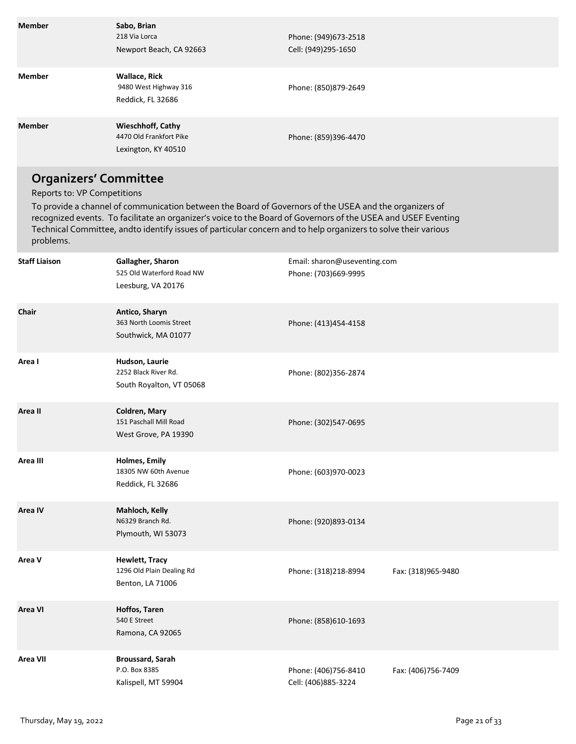| <b>Member</b>                                                            | Sabo, Brian<br>218 Via Lorca<br>Newport Beach, CA 92663                                                                                                                                                                  | Phone: (949)673-2518<br>Cell: (949)295-1650                                                                   |
|--------------------------------------------------------------------------|--------------------------------------------------------------------------------------------------------------------------------------------------------------------------------------------------------------------------|---------------------------------------------------------------------------------------------------------------|
| <b>Member</b>                                                            | <b>Wallace, Rick</b><br>9480 West Highway 316<br>Reddick, FL 32686                                                                                                                                                       | Phone: (850)879-2649                                                                                          |
| <b>Member</b>                                                            | <b>Wieschhoff, Cathy</b><br>4470 Old Frankfort Pike<br>Lexington, KY 40510                                                                                                                                               | Phone: (859)396-4470                                                                                          |
| <b>Organizers' Committee</b><br>Reports to: VP Competitions<br>problems. | To provide a channel of communication between the Board of Governors of the USEA and the organizers of<br>Technical Committee, andto identify issues of particular concern and to help organizers to solve their various | recognized events. To facilitate an organizer's voice to the Board of Governors of the USEA and USEF Eventing |
| <b>Staff Liaison</b>                                                     | Gallagher, Sharon<br>525 Old Waterford Road NW<br>Leesburg, VA 20176                                                                                                                                                     | Email: sharon@useventing.com<br>Phone: (703)669-9995                                                          |
| Chair                                                                    | Antico, Sharyn<br>363 North Loomis Street<br>Southwick, MA 01077                                                                                                                                                         | Phone: (413)454-4158                                                                                          |

| Area I          | Hudson, Laurie<br>2252 Black River Rd.<br>South Royalton, VT 05068     | Phone: (802)356-2874                        |                     |
|-----------------|------------------------------------------------------------------------|---------------------------------------------|---------------------|
| Area II         | Coldren, Mary<br>151 Paschall Mill Road<br>West Grove, PA 19390        | Phone: (302)547-0695                        |                     |
| Area III        | <b>Holmes, Emily</b><br>18305 NW 60th Avenue<br>Reddick, FL 32686      | Phone: (603)970-0023                        |                     |
| Area IV         | Mahloch, Kelly<br>N6329 Branch Rd.<br>Plymouth, WI 53073               | Phone: (920)893-0134                        |                     |
| Area V          | <b>Hewlett, Tracy</b><br>1296 Old Plain Dealing Rd<br>Benton, LA 71006 | Phone: (318)218-8994                        | Fax: (318)965-9480  |
| <b>Area VI</b>  | Hoffos, Taren<br>540 E Street<br>Ramona, CA 92065                      | Phone: (858)610-1693                        |                     |
| <b>Area VII</b> | <b>Broussard, Sarah</b><br>P.O. Box 8385<br>Kalispell, MT 59904        | Phone: (406)756-8410<br>Cell: (406)885-3224 | Fax: (406) 756-7409 |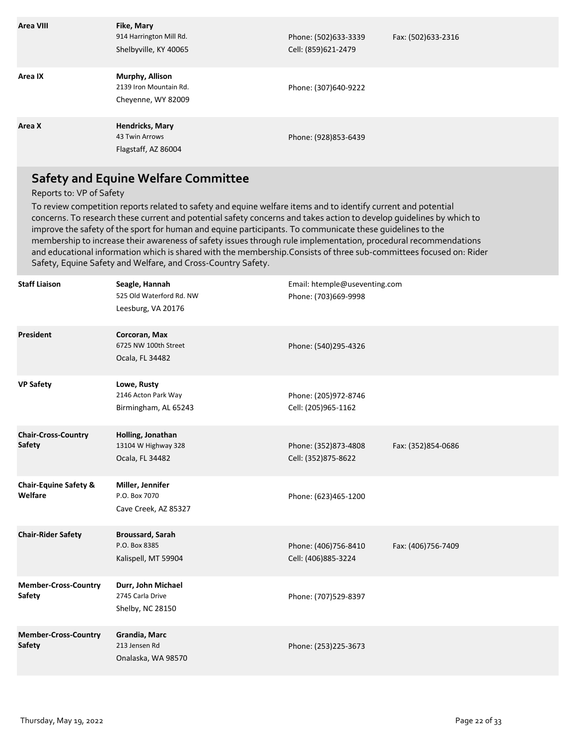| Area VIII | Fike, Mary<br>914 Harrington Mill Rd.<br>Shelbyville, KY 40065  | Phone: (502)633-3339<br>Cell: (859)621-2479 | Fax: (502)633-2316 |
|-----------|-----------------------------------------------------------------|---------------------------------------------|--------------------|
| Area IX   | Murphy, Allison<br>2139 Iron Mountain Rd.<br>Cheyenne, WY 82009 | Phone: (307)640-9222                        |                    |
| Area X    | <b>Hendricks, Mary</b><br>43 Twin Arrows<br>Flagstaff, AZ 86004 | Phone: (928)853-6439                        |                    |

## **Safety and Equine Welfare Committee**

#### Reports to: VP of Safety

To review competition reports related to safety and equine welfare items and to identify current and potential concerns. To research these current and potential safety concerns and takes action to develop guidelines by which to improve the safety of the sport for human and equine participants. To communicate these guidelines to the membership to increase their awareness of safety issues through rule implementation, procedural recommendations and educational information which is shared with the membership.Consists of three sub-committees focused on: Rider Safety, Equine Safety and Welfare, and Cross-Country Safety.

| <b>Staff Liaison</b>                         | Seagle, Hannah<br>525 Old Waterford Rd. NW<br>Leesburg, VA 20176 | Email: htemple@useventing.com<br>Phone: (703)669-9998 |                     |
|----------------------------------------------|------------------------------------------------------------------|-------------------------------------------------------|---------------------|
| <b>President</b>                             | Corcoran, Max<br>6725 NW 100th Street<br>Ocala, FL 34482         | Phone: (540)295-4326                                  |                     |
| <b>VP Safety</b>                             | Lowe, Rusty<br>2146 Acton Park Way<br>Birmingham, AL 65243       | Phone: (205)972-8746<br>Cell: (205)965-1162           |                     |
| <b>Chair-Cross-Country</b><br><b>Safety</b>  | Holling, Jonathan<br>13104 W Highway 328<br>Ocala, FL 34482      | Phone: (352)873-4808<br>Cell: (352)875-8622           | Fax: (352)854-0686  |
| <b>Chair-Equine Safety &amp;</b><br>Welfare  | Miller, Jennifer<br>P.O. Box 7070<br>Cave Creek, AZ 85327        | Phone: (623)465-1200                                  |                     |
| <b>Chair-Rider Safety</b>                    | <b>Broussard, Sarah</b><br>P.O. Box 8385<br>Kalispell, MT 59904  | Phone: (406)756-8410<br>Cell: (406)885-3224           | Fax: (406) 756-7409 |
| <b>Member-Cross-Country</b><br><b>Safety</b> | Durr, John Michael<br>2745 Carla Drive<br>Shelby, NC 28150       | Phone: (707)529-8397                                  |                     |
| <b>Member-Cross-Country</b><br><b>Safety</b> | Grandia, Marc<br>213 Jensen Rd<br>Onalaska, WA 98570             | Phone: (253)225-3673                                  |                     |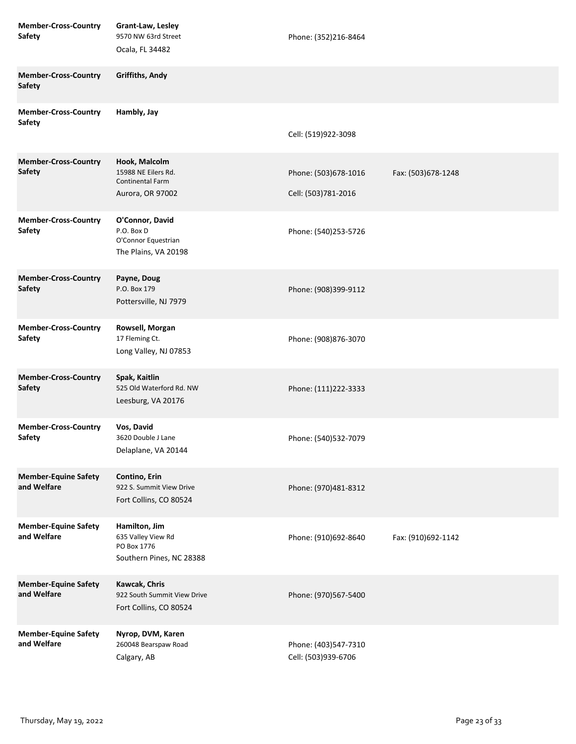| <b>Member-Cross-Country</b><br>Safety        | Grant-Law, Lesley<br>9570 NW 63rd Street<br>Ocala, FL 34482                         | Phone: (352)216-8464                        |                    |
|----------------------------------------------|-------------------------------------------------------------------------------------|---------------------------------------------|--------------------|
| <b>Member-Cross-Country</b><br><b>Safety</b> | Griffiths, Andy                                                                     |                                             |                    |
| <b>Member-Cross-Country</b><br><b>Safety</b> | Hambly, Jay                                                                         | Cell: (519)922-3098                         |                    |
| <b>Member-Cross-Country</b><br><b>Safety</b> | Hook, Malcolm<br>15988 NE Eilers Rd.<br><b>Continental Farm</b><br>Aurora, OR 97002 | Phone: (503)678-1016<br>Cell: (503)781-2016 | Fax: (503)678-1248 |
| <b>Member-Cross-Country</b><br><b>Safety</b> | O'Connor, David<br>P.O. Box D<br>O'Connor Equestrian<br>The Plains, VA 20198        | Phone: (540)253-5726                        |                    |
| <b>Member-Cross-Country</b><br><b>Safety</b> | Payne, Doug<br>P.O. Box 179<br>Pottersville, NJ 7979                                | Phone: (908)399-9112                        |                    |
| <b>Member-Cross-Country</b><br><b>Safety</b> | Rowsell, Morgan<br>17 Fleming Ct.<br>Long Valley, NJ 07853                          | Phone: (908)876-3070                        |                    |
| <b>Member-Cross-Country</b><br><b>Safety</b> | Spak, Kaitlin<br>525 Old Waterford Rd. NW<br>Leesburg, VA 20176                     | Phone: (111)222-3333                        |                    |
| <b>Member-Cross-Country</b><br><b>Safety</b> | Vos, David<br>3620 Double J Lane<br>Delaplane, VA 20144                             | Phone: (540)532-7079                        |                    |
| <b>Member-Equine Safety</b><br>and Welfare   | Contino, Erin<br>922 S. Summit View Drive<br>Fort Collins, CO 80524                 | Phone: (970)481-8312                        |                    |
| <b>Member-Equine Safety</b><br>and Welfare   | Hamilton, Jim<br>635 Valley View Rd<br>PO Box 1776<br>Southern Pines, NC 28388      | Phone: (910)692-8640                        | Fax: (910)692-1142 |
| <b>Member-Equine Safety</b><br>and Welfare   | Kawcak, Chris<br>922 South Summit View Drive<br>Fort Collins, CO 80524              | Phone: (970)567-5400                        |                    |
| <b>Member-Equine Safety</b><br>and Welfare   | Nyrop, DVM, Karen<br>260048 Bearspaw Road<br>Calgary, AB                            | Phone: (403)547-7310<br>Cell: (503)939-6706 |                    |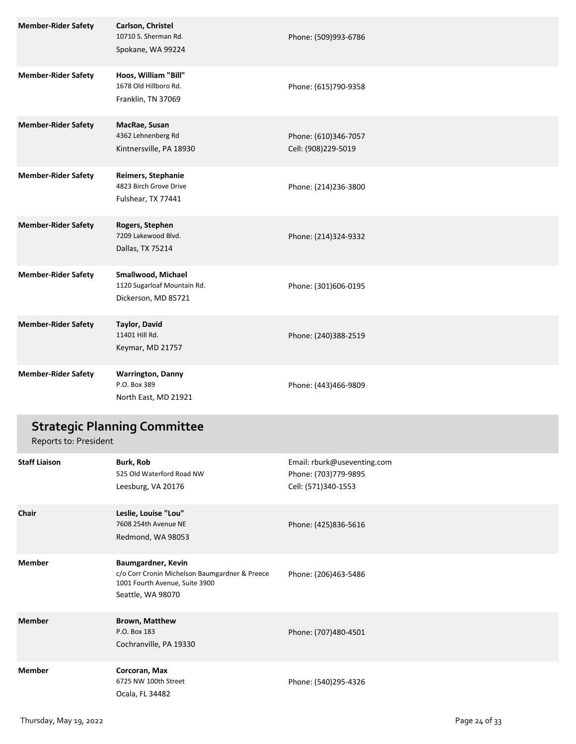| <b>Member-Rider Safety</b> | Carlson, Christel<br>10710 S. Sherman Rd.<br>Spokane, WA 99224                                                              | Phone: (509)993-6786                                                       |
|----------------------------|-----------------------------------------------------------------------------------------------------------------------------|----------------------------------------------------------------------------|
| <b>Member-Rider Safety</b> | Hoos, William "Bill"<br>1678 Old Hillboro Rd.<br>Franklin, TN 37069                                                         | Phone: (615)790-9358                                                       |
| <b>Member-Rider Safety</b> | MacRae, Susan<br>4362 Lehnenberg Rd<br>Kintnersville, PA 18930                                                              | Phone: (610)346-7057<br>Cell: (908)229-5019                                |
| <b>Member-Rider Safety</b> | Reimers, Stephanie<br>4823 Birch Grove Drive<br>Fulshear, TX 77441                                                          | Phone: (214)236-3800                                                       |
| <b>Member-Rider Safety</b> | Rogers, Stephen<br>7209 Lakewood Blvd.<br>Dallas, TX 75214                                                                  | Phone: (214)324-9332                                                       |
| <b>Member-Rider Safety</b> | Smallwood, Michael<br>1120 Sugarloaf Mountain Rd.<br>Dickerson, MD 85721                                                    | Phone: (301)606-0195                                                       |
| <b>Member-Rider Safety</b> | <b>Taylor, David</b><br>11401 Hill Rd.<br>Keymar, MD 21757                                                                  | Phone: (240)388-2519                                                       |
| <b>Member-Rider Safety</b> | <b>Warrington, Danny</b><br>P.O. Box 389<br>North East, MD 21921                                                            | Phone: (443)466-9809                                                       |
| Reports to: President      | <b>Strategic Planning Committee</b>                                                                                         |                                                                            |
| <b>Staff Liaison</b>       | Burk, Rob<br>525 Old Waterford Road NW<br>Leesburg, VA 20176                                                                | Email: rburk@useventing.com<br>Phone: (703)779-9895<br>Cell: (571)340-1553 |
| Chair                      | Leslie, Louise "Lou"<br>7608 254th Avenue NE<br>Redmond, WA 98053                                                           | Phone: (425)836-5616                                                       |
| <b>Member</b>              | Baumgardner, Kevin<br>c/o Corr Cronin Michelson Baumgardner & Preece<br>1001 Fourth Avenue, Suite 3900<br>Seattle, WA 98070 | Phone: (206)463-5486                                                       |
| <b>Member</b>              | <b>Brown, Matthew</b><br>P.O. Box 183<br>Cochranville, PA 19330                                                             | Phone: (707)480-4501                                                       |
| <b>Member</b>              | Corcoran, Max<br>6725 NW 100th Street<br>Ocala, FL 34482                                                                    | Phone: (540)295-4326                                                       |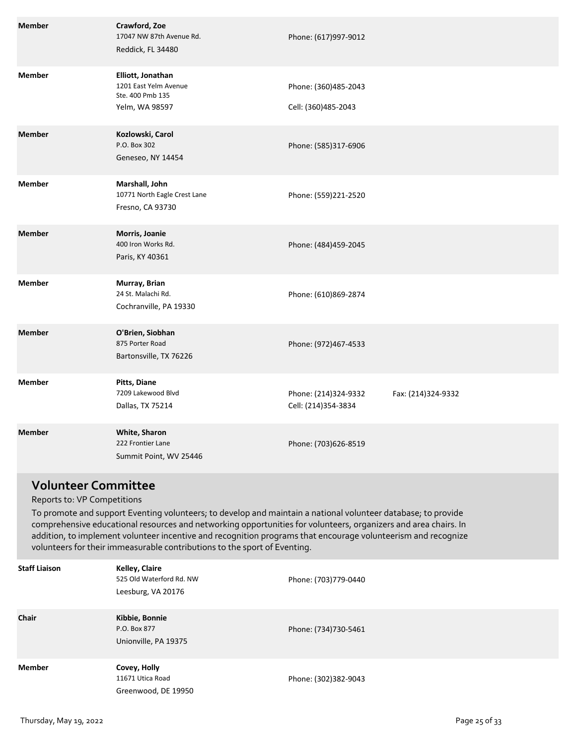| <b>Member</b>              | Crawford, Zoe<br>17047 NW 87th Avenue Rd.<br>Reddick, FL 34480                   | Phone: (617)997-9012                        |                    |
|----------------------------|----------------------------------------------------------------------------------|---------------------------------------------|--------------------|
| <b>Member</b>              | Elliott, Jonathan<br>1201 East Yelm Avenue<br>Ste. 400 Pmb 135<br>Yelm, WA 98597 | Phone: (360)485-2043<br>Cell: (360)485-2043 |                    |
| <b>Member</b>              | Kozlowski, Carol<br>P.O. Box 302<br>Geneseo, NY 14454                            | Phone: (585)317-6906                        |                    |
| <b>Member</b>              | Marshall, John<br>10771 North Eagle Crest Lane<br>Fresno, CA 93730               | Phone: (559)221-2520                        |                    |
| <b>Member</b>              | Morris, Joanie<br>400 Iron Works Rd.<br>Paris, KY 40361                          | Phone: (484)459-2045                        |                    |
| <b>Member</b>              | Murray, Brian<br>24 St. Malachi Rd.<br>Cochranville, PA 19330                    | Phone: (610)869-2874                        |                    |
| <b>Member</b>              | O'Brien, Siobhan<br>875 Porter Road<br>Bartonsville, TX 76226                    | Phone: (972)467-4533                        |                    |
| <b>Member</b>              | Pitts, Diane<br>7209 Lakewood Blvd<br>Dallas, TX 75214                           | Phone: (214)324-9332<br>Cell: (214)354-3834 | Fax: (214)324-9332 |
| <b>Member</b>              | White, Sharon<br>222 Frontier Lane<br>Summit Point, WV 25446                     | Phone: (703)626-8519                        |                    |
| <b>Volunteer Committee</b> |                                                                                  |                                             |                    |

#### Reports to: VP Competitions

To promote and support Eventing volunteers; to develop and maintain a national volunteer database; to provide comprehensive educational resources and networking opportunities for volunteers, organizers and area chairs. In addition, to implement volunteer incentive and recognition programs that encourage volunteerism and recognize volunteers for their immeasurable contributions to the sport of Eventing.

| <b>Staff Liaison</b> | Kelley, Claire<br>525 Old Waterford Rd. NW<br>Leesburg, VA 20176 | Phone: (703)779-0440 |
|----------------------|------------------------------------------------------------------|----------------------|
| <b>Chair</b>         | Kibbie, Bonnie<br>P.O. Box 877<br>Unionville, PA 19375           | Phone: (734)730-5461 |
| <b>Member</b>        | Covey, Holly<br>11671 Utica Road<br>Greenwood, DE 19950          | Phone: (302)382-9043 |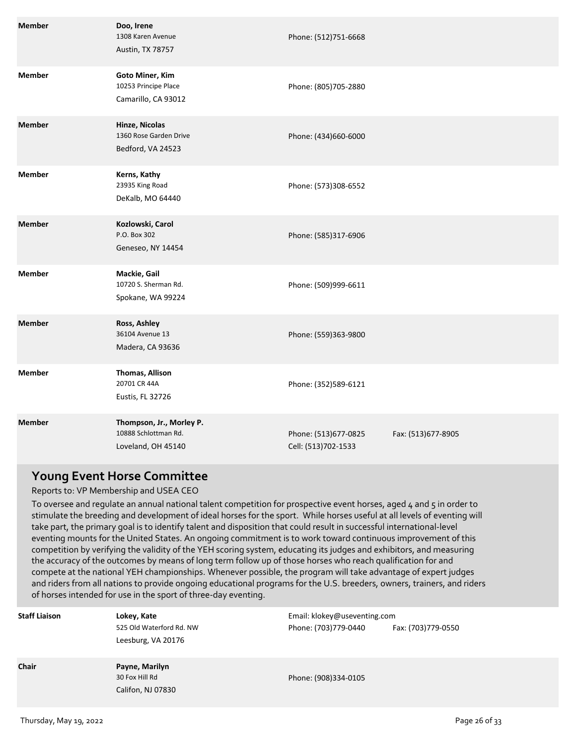| <b>Member</b> | Doo, Irene<br>1308 Karen Avenue<br>Austin, TX 78757                    | Phone: (512)751-6668                        |                    |
|---------------|------------------------------------------------------------------------|---------------------------------------------|--------------------|
| <b>Member</b> | <b>Goto Miner, Kim</b><br>10253 Principe Place<br>Camarillo, CA 93012  | Phone: (805)705-2880                        |                    |
| <b>Member</b> | Hinze, Nicolas<br>1360 Rose Garden Drive<br>Bedford, VA 24523          | Phone: (434)660-6000                        |                    |
| <b>Member</b> | Kerns, Kathy<br>23935 King Road<br>DeKalb, MO 64440                    | Phone: (573)308-6552                        |                    |
| <b>Member</b> | Kozlowski, Carol<br>P.O. Box 302<br>Geneseo, NY 14454                  | Phone: (585)317-6906                        |                    |
| <b>Member</b> | Mackie, Gail<br>10720 S. Sherman Rd.<br>Spokane, WA 99224              | Phone: (509)999-6611                        |                    |
| <b>Member</b> | Ross, Ashley<br>36104 Avenue 13<br>Madera, CA 93636                    | Phone: (559)363-9800                        |                    |
| <b>Member</b> | Thomas, Allison<br>20701 CR 44A<br>Eustis, FL 32726                    | Phone: (352)589-6121                        |                    |
| <b>Member</b> | Thompson, Jr., Morley P.<br>10888 Schlottman Rd.<br>Loveland, OH 45140 | Phone: (513)677-0825<br>Cell: (513)702-1533 | Fax: (513)677-8905 |

### **Young Event Horse Committee**

### Reports to: VP Membership and USEA CEO

To oversee and regulate an annual national talent competition for prospective event horses, aged 4 and 5 in order to stimulate the breeding and development of ideal horses for the sport. While horses useful at all levels of eventing will take part, the primary goal is to identify talent and disposition that could result in successful international-level eventing mounts for the United States. An ongoing commitment is to work toward continuous improvement of this competition by verifying the validity of the YEH scoring system, educating its judges and exhibitors, and measuring the accuracy of the outcomes by means of long term follow up of those horses who reach qualification for and compete at the national YEH championships. Whenever possible, the program will take advantage of expert judges and riders from all nations to provide ongoing educational programs for the U.S. breeders, owners, trainers, and riders of horses intended for use in the sport of three-day eventing.

| <b>Staff Liaison</b> | Lokey, Kate<br>525 Old Waterford Rd. NW<br>Leesburg, VA 20176 | Email: klokey@useventing.com<br>Phone: (703)779-0440 | Fax: (703)779-0550 |
|----------------------|---------------------------------------------------------------|------------------------------------------------------|--------------------|
| <b>Chair</b>         | Payne, Marilyn<br>30 Fox Hill Rd<br>Califon, NJ 07830         | Phone: (908)334-0105                                 |                    |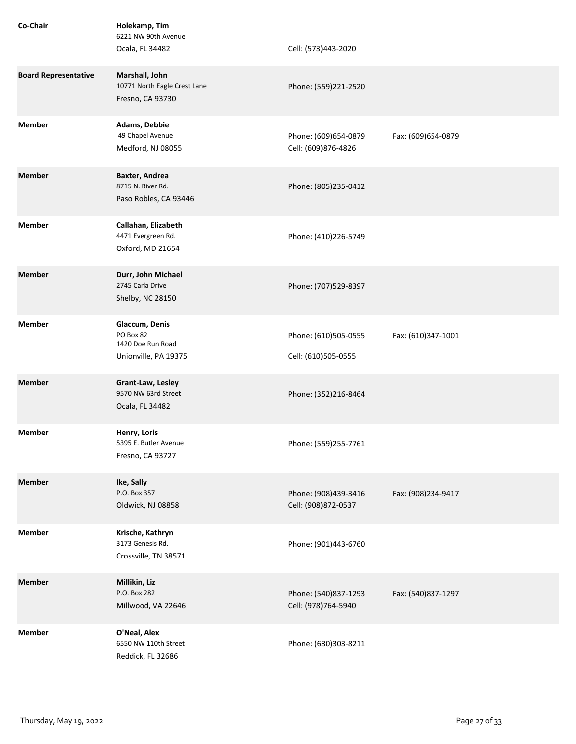| Co-Chair                    | Holekamp, Tim<br>6221 NW 90th Avenue<br>Ocala, FL 34482                  | Cell: (573)443-2020                         |                    |
|-----------------------------|--------------------------------------------------------------------------|---------------------------------------------|--------------------|
| <b>Board Representative</b> | Marshall, John<br>10771 North Eagle Crest Lane<br>Fresno, CA 93730       | Phone: (559)221-2520                        |                    |
| <b>Member</b>               | Adams, Debbie<br>49 Chapel Avenue<br>Medford, NJ 08055                   | Phone: (609)654-0879<br>Cell: (609)876-4826 | Fax: (609)654-0879 |
| <b>Member</b>               | Baxter, Andrea<br>8715 N. River Rd.<br>Paso Robles, CA 93446             | Phone: (805)235-0412                        |                    |
| <b>Member</b>               | Callahan, Elizabeth<br>4471 Evergreen Rd.<br>Oxford, MD 21654            | Phone: (410)226-5749                        |                    |
| <b>Member</b>               | Durr, John Michael<br>2745 Carla Drive<br>Shelby, NC 28150               | Phone: (707)529-8397                        |                    |
| <b>Member</b>               | Glaccum, Denis<br>PO Box 82<br>1420 Doe Run Road<br>Unionville, PA 19375 | Phone: (610)505-0555<br>Cell: (610)505-0555 | Fax: (610)347-1001 |
| <b>Member</b>               | Grant-Law, Lesley<br>9570 NW 63rd Street<br>Ocala, FL 34482              | Phone: (352)216-8464                        |                    |
| <b>Member</b>               | Henry, Loris<br>5395 E. Butler Avenue<br>Fresno, CA 93727                | Phone: (559)255-7761                        |                    |
| <b>Member</b>               | Ike, Sally<br>P.O. Box 357<br>Oldwick, NJ 08858                          | Phone: (908)439-3416<br>Cell: (908)872-0537 | Fax: (908)234-9417 |
| <b>Member</b>               | Krische, Kathryn<br>3173 Genesis Rd.<br>Crossville, TN 38571             | Phone: (901)443-6760                        |                    |
| <b>Member</b>               | Millikin, Liz<br>P.O. Box 282<br>Millwood, VA 22646                      | Phone: (540)837-1293<br>Cell: (978)764-5940 | Fax: (540)837-1297 |
| <b>Member</b>               | O'Neal, Alex<br>6550 NW 110th Street<br>Reddick, FL 32686                | Phone: (630)303-8211                        |                    |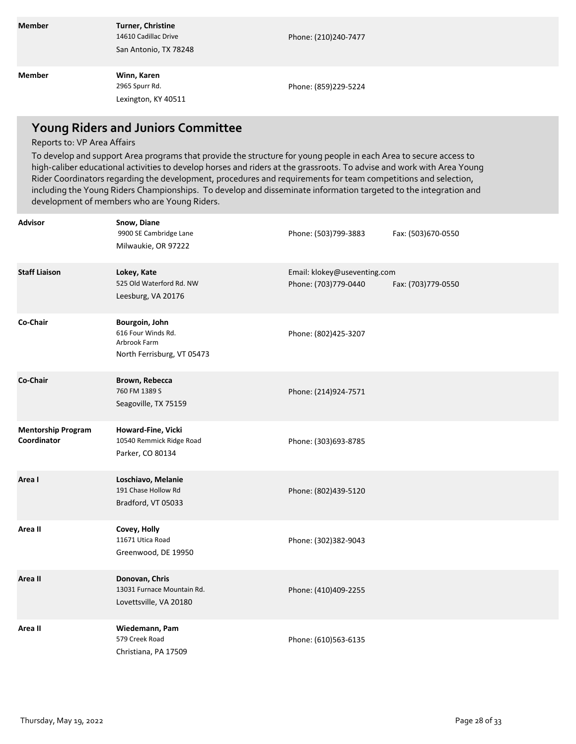| <b>Member</b> | <b>Turner, Christine</b><br>14610 Cadillac Drive<br>San Antonio, TX 78248 | Phone: (210)240-7477 |
|---------------|---------------------------------------------------------------------------|----------------------|
| <b>Member</b> | Winn, Karen<br>2965 Spurr Rd.<br>Lexington, KY 40511                      | Phone: (859)229-5224 |

## **Young Riders and Juniors Committee**

### Reports to: VP Area Affairs

To develop and support Area programs that provide the structure for young people in each Area to secure access to high-caliber educational activities to develop horses and riders at the grassroots. To advise and work with Area Young Rider Coordinators regarding the development, procedures and requirements for team competitions and selection, including the Young Riders Championships. To develop and disseminate information targeted to the integration and development of members who are Young Riders.

| <b>Advisor</b>                           | Snow, Diane<br>9900 SE Cambridge Lane<br>Milwaukie, OR 97222                       | Phone: (503)799-3883                                 | Fax: (503)670-0550  |
|------------------------------------------|------------------------------------------------------------------------------------|------------------------------------------------------|---------------------|
| <b>Staff Liaison</b>                     | Lokey, Kate<br>525 Old Waterford Rd. NW<br>Leesburg, VA 20176                      | Email: klokey@useventing.com<br>Phone: (703)779-0440 | Fax: (703) 779-0550 |
| Co-Chair                                 | Bourgoin, John<br>616 Four Winds Rd.<br>Arbrook Farm<br>North Ferrisburg, VT 05473 | Phone: (802)425-3207                                 |                     |
| Co-Chair                                 | Brown, Rebecca<br>760 FM 1389 S<br>Seagoville, TX 75159                            | Phone: (214)924-7571                                 |                     |
| <b>Mentorship Program</b><br>Coordinator | Howard-Fine, Vicki<br>10540 Remmick Ridge Road<br>Parker, CO 80134                 | Phone: (303)693-8785                                 |                     |
| Area I                                   | Loschiavo, Melanie<br>191 Chase Hollow Rd<br>Bradford, VT 05033                    | Phone: (802)439-5120                                 |                     |
| Area II                                  | Covey, Holly<br>11671 Utica Road<br>Greenwood, DE 19950                            | Phone: (302)382-9043                                 |                     |
| Area II                                  | Donovan, Chris<br>13031 Furnace Mountain Rd.<br>Lovettsville, VA 20180             | Phone: (410)409-2255                                 |                     |
| Area II                                  | Wiedemann, Pam<br>579 Creek Road<br>Christiana, PA 17509                           | Phone: (610)563-6135                                 |                     |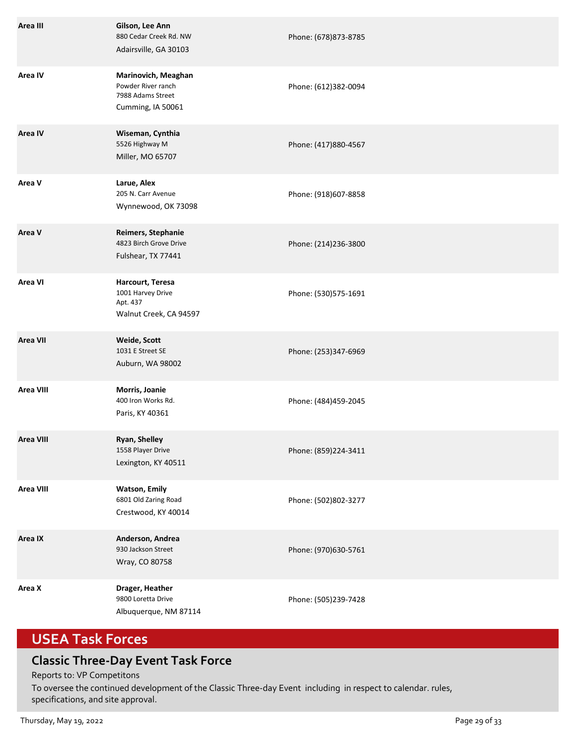| Area III         | Gilson, Lee Ann<br>880 Cedar Creek Rd. NW<br>Adairsville, GA 30103                  | Phone: (678)873-8785 |
|------------------|-------------------------------------------------------------------------------------|----------------------|
| Area IV          | Marinovich, Meaghan<br>Powder River ranch<br>7988 Adams Street<br>Cumming, IA 50061 | Phone: (612)382-0094 |
| <b>Area IV</b>   | Wiseman, Cynthia<br>5526 Highway M<br>Miller, MO 65707                              | Phone: (417)880-4567 |
| Area V           | Larue, Alex<br>205 N. Carr Avenue<br>Wynnewood, OK 73098                            | Phone: (918)607-8858 |
| Area V           | Reimers, Stephanie<br>4823 Birch Grove Drive<br>Fulshear, TX 77441                  | Phone: (214)236-3800 |
| <b>Area VI</b>   | Harcourt, Teresa<br>1001 Harvey Drive<br>Apt. 437<br>Walnut Creek, CA 94597         | Phone: (530)575-1691 |
| <b>Area VII</b>  | Weide, Scott<br>1031 E Street SE<br>Auburn, WA 98002                                | Phone: (253)347-6969 |
| <b>Area VIII</b> | Morris, Joanie<br>400 Iron Works Rd.<br>Paris, KY 40361                             | Phone: (484)459-2045 |
| <b>Area VIII</b> | Ryan, Shelley<br>1558 Player Drive<br>Lexington, KY 40511                           | Phone: (859)224-3411 |
| <b>Area VIII</b> | <b>Watson, Emily</b><br>6801 Old Zaring Road<br>Crestwood, KY 40014                 | Phone: (502)802-3277 |
| Area IX          | Anderson, Andrea<br>930 Jackson Street<br>Wray, CO 80758                            | Phone: (970)630-5761 |
| Area X           | Drager, Heather<br>9800 Loretta Drive<br>Albuquerque, NM 87114                      | Phone: (505)239-7428 |

# **USEA Task Forces**

## **Classic Three-Day Event Task Force**

Reports to: VP Competitons

To oversee the continued development of the Classic Three-day Event including in respect to calendar. rules, specifications, and site approval.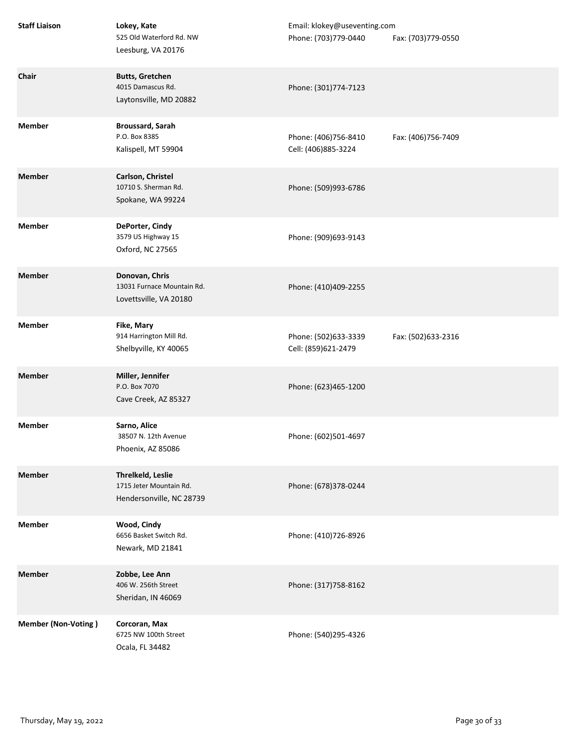| <b>Staff Liaison</b>       | Lokey, Kate<br>525 Old Waterford Rd. NW<br>Leesburg, VA 20176            | Email: klokey@useventing.com<br>Phone: (703)779-0440 | Fax: (703)779-0550 |
|----------------------------|--------------------------------------------------------------------------|------------------------------------------------------|--------------------|
| Chair                      | <b>Butts, Gretchen</b><br>4015 Damascus Rd.<br>Laytonsville, MD 20882    | Phone: (301)774-7123                                 |                    |
| <b>Member</b>              | <b>Broussard, Sarah</b><br>P.O. Box 8385<br>Kalispell, MT 59904          | Phone: (406)756-8410<br>Cell: (406)885-3224          | Fax: (406)756-7409 |
| <b>Member</b>              | Carlson, Christel<br>10710 S. Sherman Rd.<br>Spokane, WA 99224           | Phone: (509)993-6786                                 |                    |
| <b>Member</b>              | DePorter, Cindy<br>3579 US Highway 15<br>Oxford, NC 27565                | Phone: (909)693-9143                                 |                    |
| <b>Member</b>              | Donovan, Chris<br>13031 Furnace Mountain Rd.<br>Lovettsville, VA 20180   | Phone: (410)409-2255                                 |                    |
| <b>Member</b>              | Fike, Mary<br>914 Harrington Mill Rd.<br>Shelbyville, KY 40065           | Phone: (502)633-3339<br>Cell: (859)621-2479          | Fax: (502)633-2316 |
| <b>Member</b>              | Miller, Jennifer<br>P.O. Box 7070<br>Cave Creek, AZ 85327                | Phone: (623)465-1200                                 |                    |
| <b>Member</b>              | Sarno, Alice<br>38507 N. 12th Avenue<br>Phoenix, AZ 85086                | Phone: (602)501-4697                                 |                    |
| <b>Member</b>              | Threlkeld, Leslie<br>1715 Jeter Mountain Rd.<br>Hendersonville, NC 28739 | Phone: (678)378-0244                                 |                    |
| <b>Member</b>              | Wood, Cindy<br>6656 Basket Switch Rd.<br>Newark, MD 21841                | Phone: (410)726-8926                                 |                    |
| <b>Member</b>              | Zobbe, Lee Ann<br>406 W. 256th Street<br>Sheridan, IN 46069              | Phone: (317)758-8162                                 |                    |
| <b>Member (Non-Voting)</b> | Corcoran, Max<br>6725 NW 100th Street<br>Ocala, FL 34482                 | Phone: (540)295-4326                                 |                    |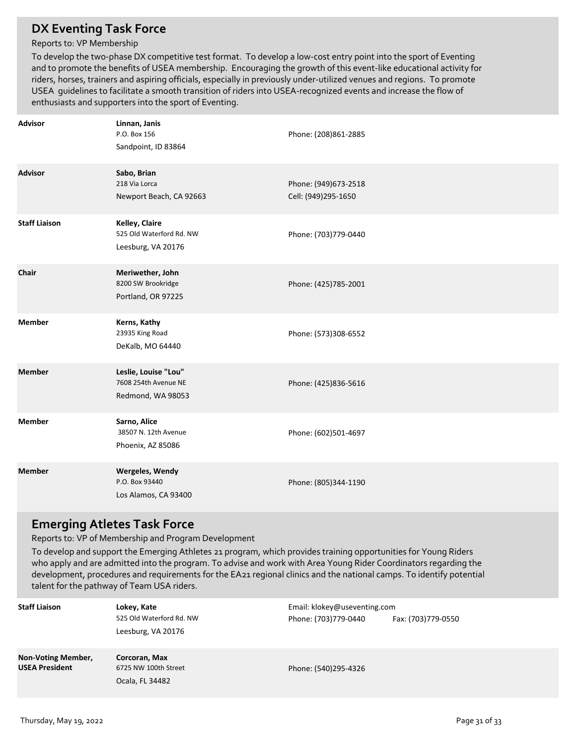### **DX Eventing Task Force**

### Reports to: VP Membership

To develop the two-phase DX competitive test format. To develop a low-cost entry point into the sport of Eventing and to promote the benefits of USEA membership. Encouraging the growth of this event-like educational activity for riders, horses, trainers and aspiring officials, especially in previously under-utilized venues and regions. To promote USEA guidelines to facilitate a smooth transition of riders into USEA-recognized events and increase the flow of enthusiasts and supporters into the sport of Eventing.

| <b>Advisor</b>       | Linnan, Janis<br>P.O. Box 156<br>Sandpoint, ID 83864              | Phone: (208)861-2885                        |
|----------------------|-------------------------------------------------------------------|---------------------------------------------|
| <b>Advisor</b>       | Sabo, Brian<br>218 Via Lorca<br>Newport Beach, CA 92663           | Phone: (949)673-2518<br>Cell: (949)295-1650 |
| <b>Staff Liaison</b> | Kelley, Claire<br>525 Old Waterford Rd. NW<br>Leesburg, VA 20176  | Phone: (703)779-0440                        |
| Chair                | Meriwether, John<br>8200 SW Brookridge<br>Portland, OR 97225      | Phone: (425)785-2001                        |
| <b>Member</b>        | Kerns, Kathy<br>23935 King Road<br>DeKalb, MO 64440               | Phone: (573)308-6552                        |
| <b>Member</b>        | Leslie, Louise "Lou"<br>7608 254th Avenue NE<br>Redmond, WA 98053 | Phone: (425)836-5616                        |
| <b>Member</b>        | Sarno, Alice<br>38507 N. 12th Avenue<br>Phoenix, AZ 85086         | Phone: (602)501-4697                        |
| <b>Member</b>        | Wergeles, Wendy<br>P.O. Box 93440<br>Los Alamos, CA 93400         | Phone: (805)344-1190                        |

### **Emerging Atletes Task Force**

Reports to: VP of Membership and Program Development

To develop and support the Emerging Athletes 21 program, which provides training opportunities for Young Riders who apply and are admitted into the program. To advise and work with Area Young Rider Coordinators regarding the development, procedures and requirements for the EA21 regional clinics and the national camps. To identify potential talent for the pathway of Team USA riders.

| <b>Staff Liaison</b>                        | Lokey, Kate<br>525 Old Waterford Rd. NW<br>Leesburg, VA 20176 | Email: klokey@useventing.com<br>Phone: (703)779-0440 | Fax: (703)779-0550 |
|---------------------------------------------|---------------------------------------------------------------|------------------------------------------------------|--------------------|
| Non-Voting Member,<br><b>USEA President</b> | Corcoran, Max<br>6725 NW 100th Street<br>Ocala, FL 34482      | Phone: (540)295-4326                                 |                    |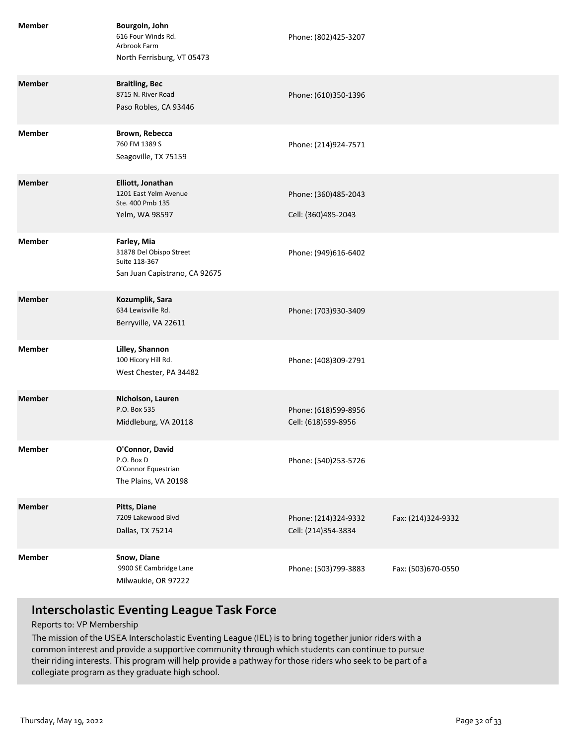| <b>Member</b> | Bourgoin, John<br>616 Four Winds Rd.<br>Arbrook Farm<br>North Ferrisburg, VT 05473       | Phone: (802)425-3207                        |                    |
|---------------|------------------------------------------------------------------------------------------|---------------------------------------------|--------------------|
| <b>Member</b> | <b>Braitling, Bec</b><br>8715 N. River Road<br>Paso Robles, CA 93446                     | Phone: (610)350-1396                        |                    |
| <b>Member</b> | Brown, Rebecca<br>760 FM 1389 S<br>Seagoville, TX 75159                                  | Phone: (214)924-7571                        |                    |
| <b>Member</b> | Elliott, Jonathan<br>1201 East Yelm Avenue<br>Ste. 400 Pmb 135<br>Yelm, WA 98597         | Phone: (360)485-2043<br>Cell: (360)485-2043 |                    |
| Member        | Farley, Mia<br>31878 Del Obispo Street<br>Suite 118-367<br>San Juan Capistrano, CA 92675 | Phone: (949)616-6402                        |                    |
| <b>Member</b> | Kozumplik, Sara<br>634 Lewisville Rd.<br>Berryville, VA 22611                            | Phone: (703)930-3409                        |                    |
| <b>Member</b> | Lilley, Shannon<br>100 Hicory Hill Rd.<br>West Chester, PA 34482                         | Phone: (408)309-2791                        |                    |
| <b>Member</b> | Nicholson, Lauren<br>P.O. Box 535<br>Middleburg, VA 20118                                | Phone: (618)599-8956<br>Cell: (618)599-8956 |                    |
| <b>Member</b> | O'Connor, David<br>P.O. Box D<br>O'Connor Equestrian<br>The Plains, VA 20198             | Phone: (540)253-5726                        |                    |
| <b>Member</b> | Pitts, Diane<br>7209 Lakewood Blvd<br>Dallas, TX 75214                                   | Phone: (214)324-9332<br>Cell: (214)354-3834 | Fax: (214)324-9332 |
| <b>Member</b> | Snow, Diane<br>9900 SE Cambridge Lane<br>Milwaukie, OR 97222                             | Phone: (503)799-3883                        | Fax: (503)670-0550 |

## **Interscholastic Eventing League Task Force**

### Reports to: VP Membership

The mission of the USEA Interscholastic Eventing League (IEL) is to bring together junior riders with a common interest and provide a supportive community through which students can continue to pursue their riding interests. This program will help provide a pathway for those riders who seek to be part of a collegiate program as they graduate high school.